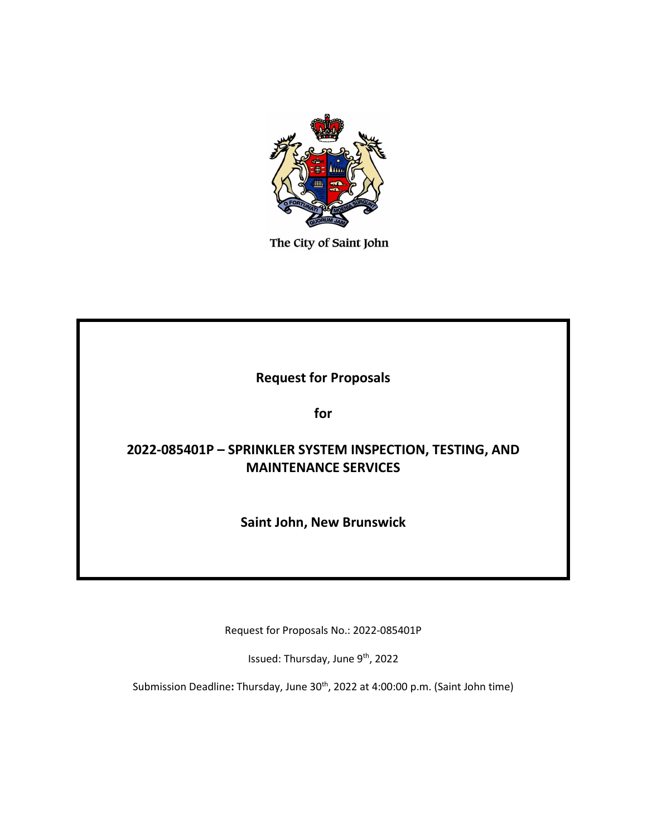

The City of Saint John

# **Request for Proposals**

**for**

# **2022-085401P – SPRINKLER SYSTEM INSPECTION, TESTING, AND MAINTENANCE SERVICES**

**Saint John, New Brunswick**

Request for Proposals No.: 2022-085401P

Issued: Thursday, June 9<sup>th</sup>, 2022

Submission Deadline: Thursday, June 30<sup>th</sup>, 2022 at 4:00:00 p.m. (Saint John time)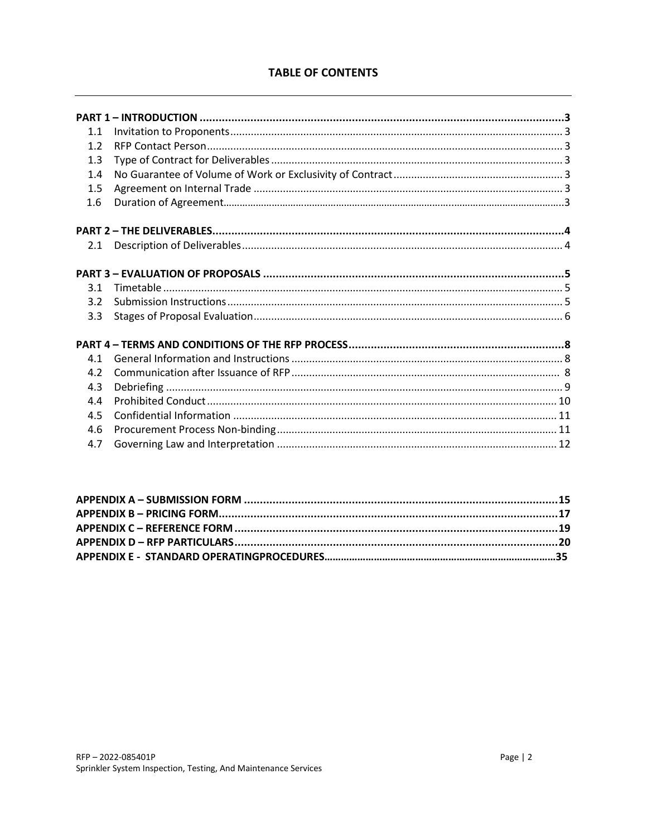# **TABLE OF CONTENTS**

| 1.1              |  |
|------------------|--|
| 1.2              |  |
| 1.3              |  |
| 1.4              |  |
| 1.5              |  |
| 1.6              |  |
|                  |  |
| 2.1              |  |
|                  |  |
| 3.1              |  |
| 3.2 <sub>2</sub> |  |
| 3.3              |  |
|                  |  |
| 4.1              |  |
| 4.2              |  |
| 4.3              |  |
| 4.4              |  |
| 4.5              |  |
| 4.6              |  |
| 4.7              |  |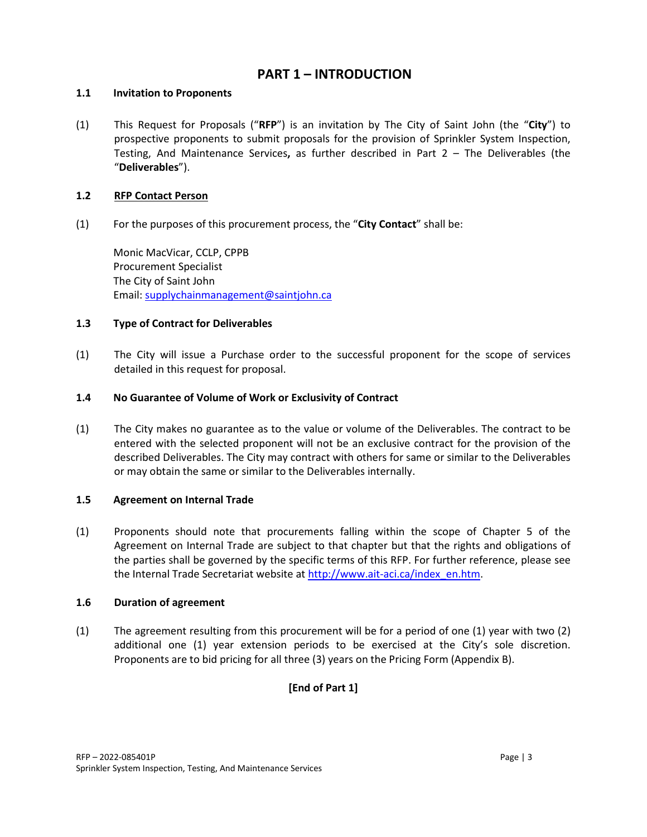# **PART 1 – INTRODUCTION**

# **1.1 Invitation to Proponents**

(1) This Request for Proposals ("**RFP**") is an invitation by The City of Saint John (the "**City**") to prospective proponents to submit proposals for the provision of Sprinkler System Inspection, Testing, And Maintenance Services**,** as further described in Part 2 – The Deliverables (the "**Deliverables**").

## **1.2 RFP Contact Person**

(1) For the purposes of this procurement process, the "**City Contact**" shall be:

Monic MacVicar, CCLP, CPPB Procurement Specialist The City of Saint John Email: [supplychainmanagement@saintjohn.ca](mailto:supplychainmanagement@saintjohn.ca)

# **1.3 Type of Contract for Deliverables**

(1) The City will issue a Purchase order to the successful proponent for the scope of services detailed in this request for proposal.

# **1.4 No Guarantee of Volume of Work or Exclusivity of Contract**

(1) The City makes no guarantee as to the value or volume of the Deliverables. The contract to be entered with the selected proponent will not be an exclusive contract for the provision of the described Deliverables. The City may contract with others for same or similar to the Deliverables or may obtain the same or similar to the Deliverables internally.

# **1.5 Agreement on Internal Trade**

(1) Proponents should note that procurements falling within the scope of Chapter 5 of the Agreement on Internal Trade are subject to that chapter but that the rights and obligations of the parties shall be governed by the specific terms of this RFP. For further reference, please see the Internal Trade Secretariat website a[t http://www.ait-aci.ca/index\\_en.htm.](http://www.ait-aci.ca/index_en.htm)

#### **1.6 Duration of agreement**

(1) The agreement resulting from this procurement will be for a period of one (1) year with two (2) additional one (1) year extension periods to be exercised at the City's sole discretion. Proponents are to bid pricing for all three (3) years on the Pricing Form (Appendix B).

# **[End of Part 1]**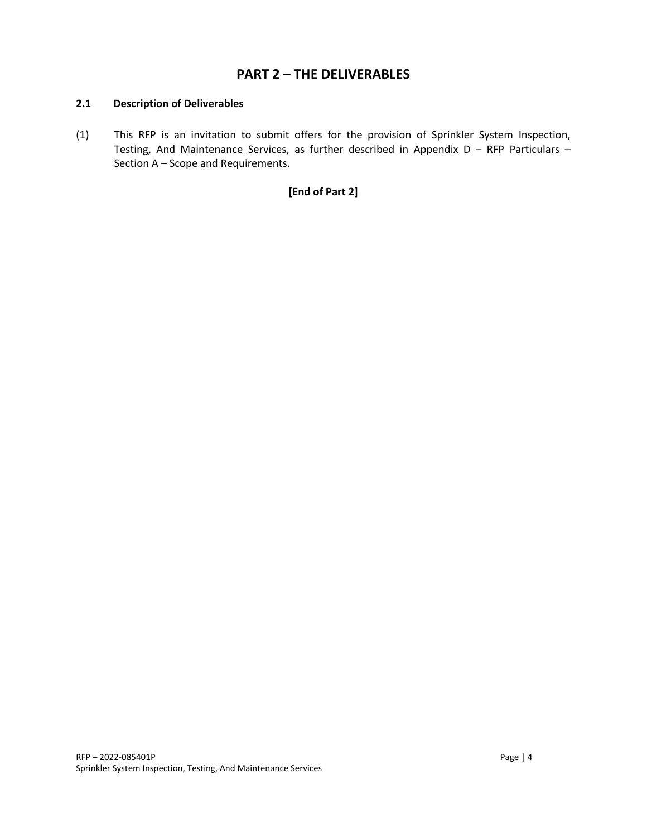# **PART 2 – THE DELIVERABLES**

#### **2.1 Description of Deliverables**

(1) This RFP is an invitation to submit offers for the provision of Sprinkler System Inspection, Testing, And Maintenance Services, as further described in Appendix D – RFP Particulars – Section A – Scope and Requirements.

# **[End of Part 2]**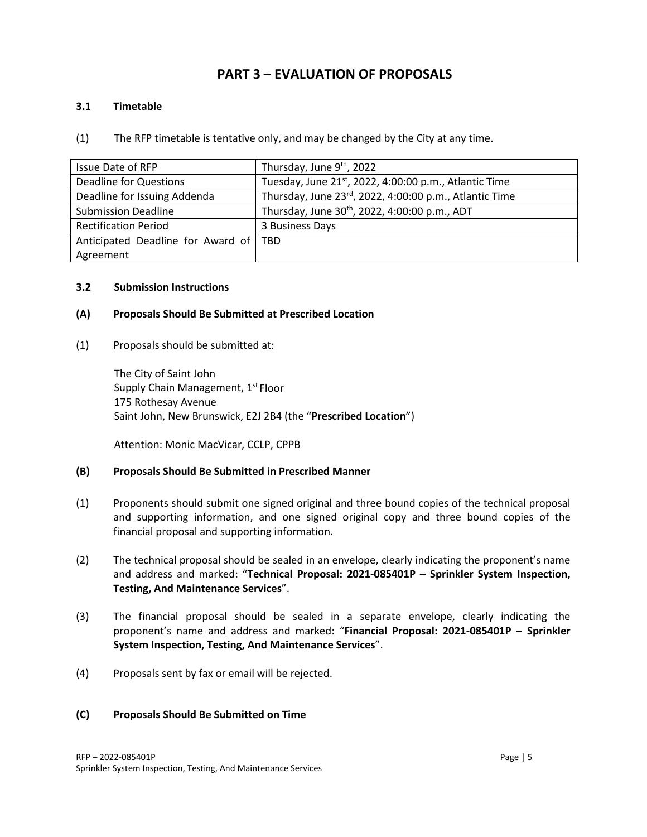# **PART 3 – EVALUATION OF PROPOSALS**

#### **3.1 Timetable**

#### (1) The RFP timetable is tentative only, and may be changed by the City at any time.

| Issue Date of RFP                       | Thursday, June 9 <sup>th</sup> , 2022                              |  |
|-----------------------------------------|--------------------------------------------------------------------|--|
| <b>Deadline for Questions</b>           | Tuesday, June 21 <sup>st</sup> , 2022, 4:00:00 p.m., Atlantic Time |  |
| Deadline for Issuing Addenda            | Thursday, June 23rd, 2022, 4:00:00 p.m., Atlantic Time             |  |
| <b>Submission Deadline</b>              | Thursday, June 30 <sup>th</sup> , 2022, 4:00:00 p.m., ADT          |  |
| <b>Rectification Period</b>             | 3 Business Days                                                    |  |
| Anticipated Deadline for Award of   TBD |                                                                    |  |
| Agreement                               |                                                                    |  |

#### **3.2 Submission Instructions**

#### **(A) Proposals Should Be Submitted at Prescribed Location**

(1) Proposals should be submitted at:

The City of Saint John Supply Chain Management, 1<sup>st</sup> Floor 175 Rothesay Avenue Saint John, New Brunswick, E2J 2B4 (the "**Prescribed Location**")

Attention: Monic MacVicar, CCLP, CPPB

#### **(B) Proposals Should Be Submitted in Prescribed Manner**

- (1) Proponents should submit one signed original and three bound copies of the technical proposal and supporting information, and one signed original copy and three bound copies of the financial proposal and supporting information.
- (2) The technical proposal should be sealed in an envelope, clearly indicating the proponent's name and address and marked: "**Technical Proposal: 2021-085401P – Sprinkler System Inspection, Testing, And Maintenance Services**".
- (3) The financial proposal should be sealed in a separate envelope, clearly indicating the proponent's name and address and marked: "**Financial Proposal: 2021-085401P – Sprinkler System Inspection, Testing, And Maintenance Services**".
- (4) Proposals sent by fax or email will be rejected.

#### **(C) Proposals Should Be Submitted on Time**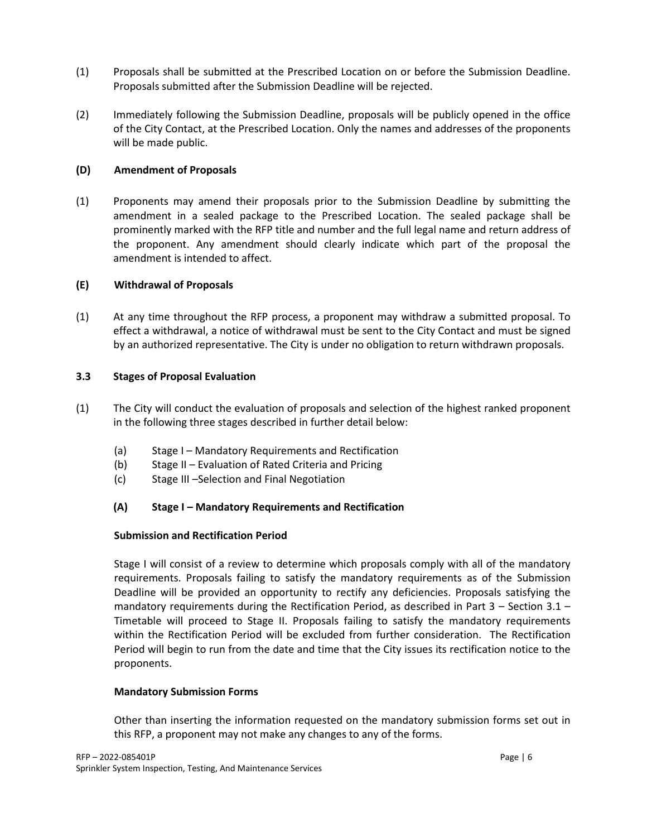- (1) Proposals shall be submitted at the Prescribed Location on or before the Submission Deadline. Proposals submitted after the Submission Deadline will be rejected.
- (2) Immediately following the Submission Deadline, proposals will be publicly opened in the office of the City Contact, at the Prescribed Location. Only the names and addresses of the proponents will be made public.

#### **(D) Amendment of Proposals**

(1) Proponents may amend their proposals prior to the Submission Deadline by submitting the amendment in a sealed package to the Prescribed Location. The sealed package shall be prominently marked with the RFP title and number and the full legal name and return address of the proponent. Any amendment should clearly indicate which part of the proposal the amendment is intended to affect.

## **(E) Withdrawal of Proposals**

(1) At any time throughout the RFP process, a proponent may withdraw a submitted proposal. To effect a withdrawal, a notice of withdrawal must be sent to the City Contact and must be signed by an authorized representative. The City is under no obligation to return withdrawn proposals.

## **3.3 Stages of Proposal Evaluation**

- (1) The City will conduct the evaluation of proposals and selection of the highest ranked proponent in the following three stages described in further detail below:
	- (a) Stage I Mandatory Requirements and Rectification
	- (b) Stage II Evaluation of Rated Criteria and Pricing
	- (c) Stage III –Selection and Final Negotiation

# **(A) Stage I – Mandatory Requirements and Rectification**

#### **Submission and Rectification Period**

Stage I will consist of a review to determine which proposals comply with all of the mandatory requirements. Proposals failing to satisfy the mandatory requirements as of the Submission Deadline will be provided an opportunity to rectify any deficiencies. Proposals satisfying the mandatory requirements during the Rectification Period, as described in Part 3 – Section 3.1 – Timetable will proceed to Stage II. Proposals failing to satisfy the mandatory requirements within the Rectification Period will be excluded from further consideration. The Rectification Period will begin to run from the date and time that the City issues its rectification notice to the proponents.

#### **Mandatory Submission Forms**

Other than inserting the information requested on the mandatory submission forms set out in this RFP, a proponent may not make any changes to any of the forms.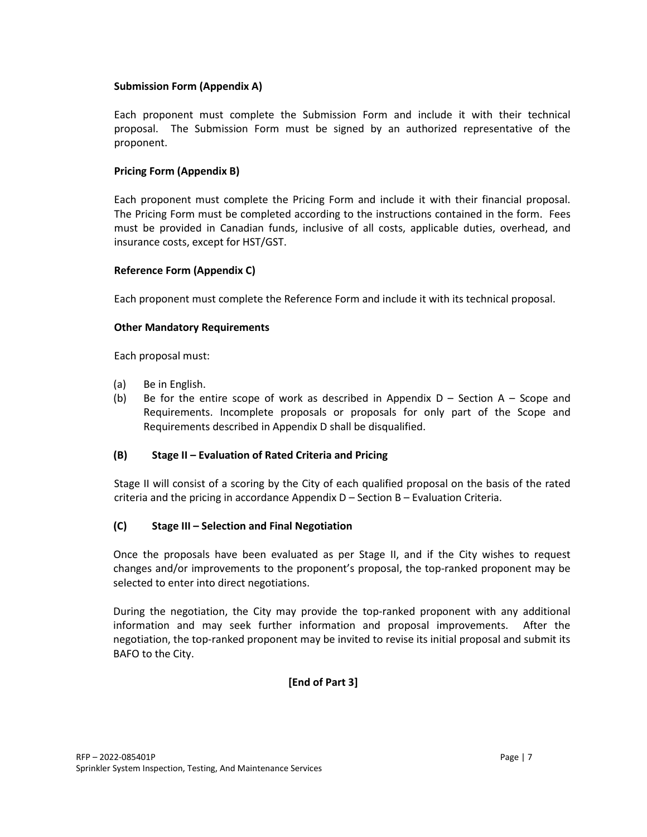#### **Submission Form (Appendix A)**

Each proponent must complete the Submission Form and include it with their technical proposal. The Submission Form must be signed by an authorized representative of the proponent.

## **Pricing Form (Appendix B)**

Each proponent must complete the Pricing Form and include it with their financial proposal. The Pricing Form must be completed according to the instructions contained in the form. Fees must be provided in Canadian funds, inclusive of all costs, applicable duties, overhead, and insurance costs, except for HST/GST.

#### **Reference Form (Appendix C)**

Each proponent must complete the Reference Form and include it with its technical proposal.

#### **Other Mandatory Requirements**

Each proposal must:

- (a) Be in English.
- (b) Be for the entire scope of work as described in Appendix  $D -$  Section A Scope and Requirements. Incomplete proposals or proposals for only part of the Scope and Requirements described in Appendix D shall be disqualified.

#### **(B) Stage II – Evaluation of Rated Criteria and Pricing**

Stage II will consist of a scoring by the City of each qualified proposal on the basis of the rated criteria and the pricing in accordance Appendix D – Section B – Evaluation Criteria.

# **(C) Stage III – Selection and Final Negotiation**

Once the proposals have been evaluated as per Stage II, and if the City wishes to request changes and/or improvements to the proponent's proposal, the top-ranked proponent may be selected to enter into direct negotiations.

During the negotiation, the City may provide the top-ranked proponent with any additional information and may seek further information and proposal improvements. After the negotiation, the top-ranked proponent may be invited to revise its initial proposal and submit its BAFO to the City.

# **[End of Part 3]**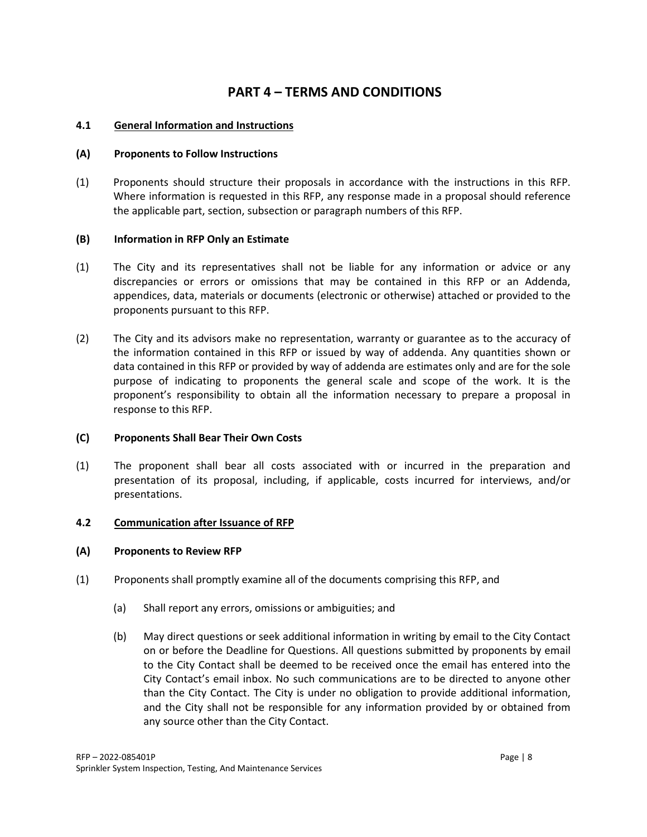# **PART 4 – TERMS AND CONDITIONS**

## **4.1 General Information and Instructions**

#### **(A) Proponents to Follow Instructions**

(1) Proponents should structure their proposals in accordance with the instructions in this RFP. Where information is requested in this RFP, any response made in a proposal should reference the applicable part, section, subsection or paragraph numbers of this RFP.

## **(B) Information in RFP Only an Estimate**

- (1) The City and its representatives shall not be liable for any information or advice or any discrepancies or errors or omissions that may be contained in this RFP or an Addenda, appendices, data, materials or documents (electronic or otherwise) attached or provided to the proponents pursuant to this RFP.
- (2) The City and its advisors make no representation, warranty or guarantee as to the accuracy of the information contained in this RFP or issued by way of addenda. Any quantities shown or data contained in this RFP or provided by way of addenda are estimates only and are for the sole purpose of indicating to proponents the general scale and scope of the work. It is the proponent's responsibility to obtain all the information necessary to prepare a proposal in response to this RFP.

#### **(C) Proponents Shall Bear Their Own Costs**

(1) The proponent shall bear all costs associated with or incurred in the preparation and presentation of its proposal, including, if applicable, costs incurred for interviews, and/or presentations.

#### **4.2 Communication after Issuance of RFP**

#### **(A) Proponents to Review RFP**

- (1) Proponents shall promptly examine all of the documents comprising this RFP, and
	- (a) Shall report any errors, omissions or ambiguities; and
	- (b) May direct questions or seek additional information in writing by email to the City Contact on or before the Deadline for Questions. All questions submitted by proponents by email to the City Contact shall be deemed to be received once the email has entered into the City Contact's email inbox. No such communications are to be directed to anyone other than the City Contact. The City is under no obligation to provide additional information, and the City shall not be responsible for any information provided by or obtained from any source other than the City Contact.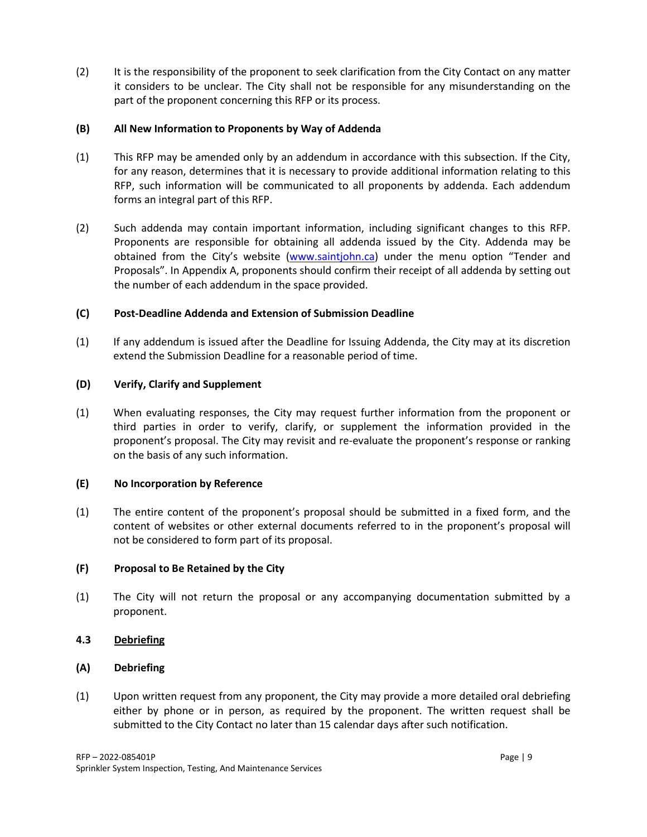(2) It is the responsibility of the proponent to seek clarification from the City Contact on any matter it considers to be unclear. The City shall not be responsible for any misunderstanding on the part of the proponent concerning this RFP or its process.

#### **(B) All New Information to Proponents by Way of Addenda**

- (1) This RFP may be amended only by an addendum in accordance with this subsection. If the City, for any reason, determines that it is necessary to provide additional information relating to this RFP, such information will be communicated to all proponents by addenda. Each addendum forms an integral part of this RFP.
- (2) Such addenda may contain important information, including significant changes to this RFP. Proponents are responsible for obtaining all addenda issued by the City. Addenda may be obtained from the City's website [\(www.saintjohn.ca\)](http://www.saintjohn.ca/) under the menu option "Tender and Proposals". In Appendix A, proponents should confirm their receipt of all addenda by setting out the number of each addendum in the space provided.

## **(C) Post-Deadline Addenda and Extension of Submission Deadline**

(1) If any addendum is issued after the Deadline for Issuing Addenda, the City may at its discretion extend the Submission Deadline for a reasonable period of time.

## **(D) Verify, Clarify and Supplement**

(1) When evaluating responses, the City may request further information from the proponent or third parties in order to verify, clarify, or supplement the information provided in the proponent's proposal. The City may revisit and re-evaluate the proponent's response or ranking on the basis of any such information.

#### **(E) No Incorporation by Reference**

(1) The entire content of the proponent's proposal should be submitted in a fixed form, and the content of websites or other external documents referred to in the proponent's proposal will not be considered to form part of its proposal.

#### **(F) Proposal to Be Retained by the City**

(1) The City will not return the proposal or any accompanying documentation submitted by a proponent.

# **4.3 Debriefing**

# **(A) Debriefing**

(1) Upon written request from any proponent, the City may provide a more detailed oral debriefing either by phone or in person, as required by the proponent. The written request shall be submitted to the City Contact no later than 15 calendar days after such notification.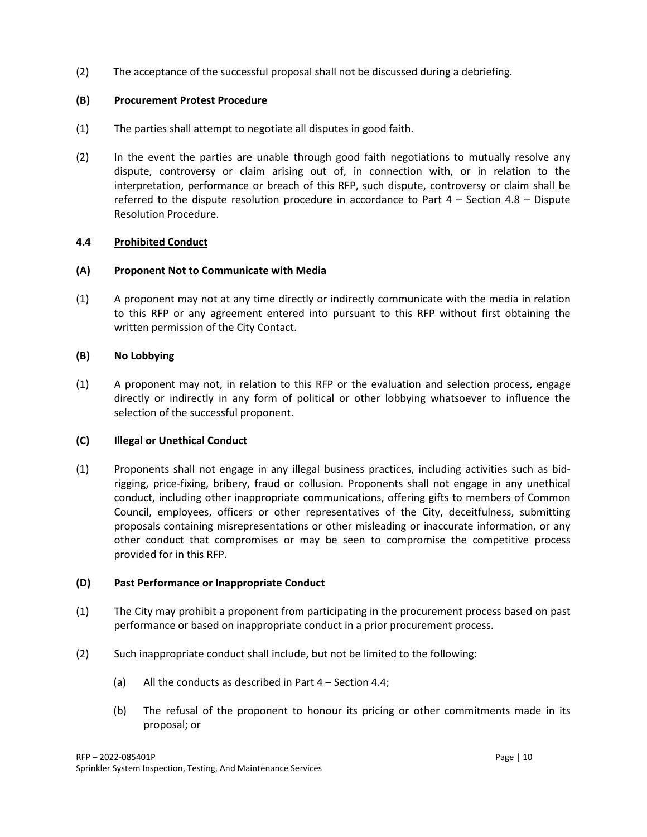(2) The acceptance of the successful proposal shall not be discussed during a debriefing.

## **(B) Procurement Protest Procedure**

- (1) The parties shall attempt to negotiate all disputes in good faith.
- (2) In the event the parties are unable through good faith negotiations to mutually resolve any dispute, controversy or claim arising out of, in connection with, or in relation to the interpretation, performance or breach of this RFP, such dispute, controversy or claim shall be referred to the dispute resolution procedure in accordance to Part 4 – Section 4.8 – Dispute Resolution Procedure.

## **4.4 Prohibited Conduct**

#### **(A) Proponent Not to Communicate with Media**

(1) A proponent may not at any time directly or indirectly communicate with the media in relation to this RFP or any agreement entered into pursuant to this RFP without first obtaining the written permission of the City Contact.

## **(B) No Lobbying**

(1) A proponent may not, in relation to this RFP or the evaluation and selection process, engage directly or indirectly in any form of political or other lobbying whatsoever to influence the selection of the successful proponent.

#### **(C) Illegal or Unethical Conduct**

(1) Proponents shall not engage in any illegal business practices, including activities such as bidrigging, price-fixing, bribery, fraud or collusion. Proponents shall not engage in any unethical conduct, including other inappropriate communications, offering gifts to members of Common Council, employees, officers or other representatives of the City, deceitfulness, submitting proposals containing misrepresentations or other misleading or inaccurate information, or any other conduct that compromises or may be seen to compromise the competitive process provided for in this RFP.

#### **(D) Past Performance or Inappropriate Conduct**

- (1) The City may prohibit a proponent from participating in the procurement process based on past performance or based on inappropriate conduct in a prior procurement process.
- (2) Such inappropriate conduct shall include, but not be limited to the following:
	- (a) All the conducts as described in Part 4 Section 4.4;
	- (b) The refusal of the proponent to honour its pricing or other commitments made in its proposal; or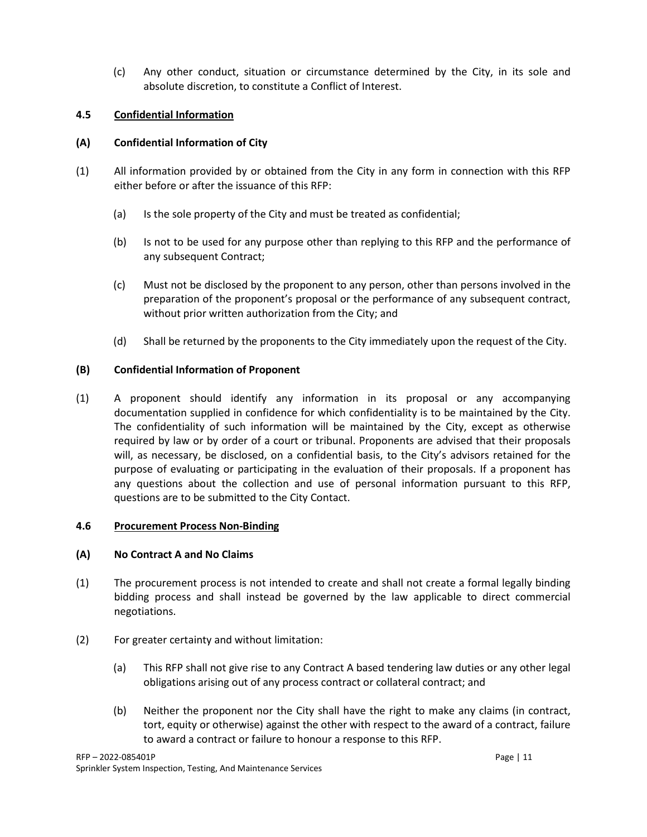(c) Any other conduct, situation or circumstance determined by the City, in its sole and absolute discretion, to constitute a Conflict of Interest.

## **4.5 Confidential Information**

## **(A) Confidential Information of City**

- (1) All information provided by or obtained from the City in any form in connection with this RFP either before or after the issuance of this RFP:
	- (a) Is the sole property of the City and must be treated as confidential;
	- (b) Is not to be used for any purpose other than replying to this RFP and the performance of any subsequent Contract;
	- (c) Must not be disclosed by the proponent to any person, other than persons involved in the preparation of the proponent's proposal or the performance of any subsequent contract, without prior written authorization from the City; and
	- (d) Shall be returned by the proponents to the City immediately upon the request of the City.

## **(B) Confidential Information of Proponent**

(1) A proponent should identify any information in its proposal or any accompanying documentation supplied in confidence for which confidentiality is to be maintained by the City. The confidentiality of such information will be maintained by the City, except as otherwise required by law or by order of a court or tribunal. Proponents are advised that their proposals will, as necessary, be disclosed, on a confidential basis, to the City's advisors retained for the purpose of evaluating or participating in the evaluation of their proposals. If a proponent has any questions about the collection and use of personal information pursuant to this RFP, questions are to be submitted to the City Contact.

#### **4.6 Procurement Process Non-Binding**

#### **(A) No Contract A and No Claims**

- (1) The procurement process is not intended to create and shall not create a formal legally binding bidding process and shall instead be governed by the law applicable to direct commercial negotiations.
- (2) For greater certainty and without limitation:
	- (a) This RFP shall not give rise to any Contract A based tendering law duties or any other legal obligations arising out of any process contract or collateral contract; and
	- (b) Neither the proponent nor the City shall have the right to make any claims (in contract, tort, equity or otherwise) against the other with respect to the award of a contract, failure to award a contract or failure to honour a response to this RFP.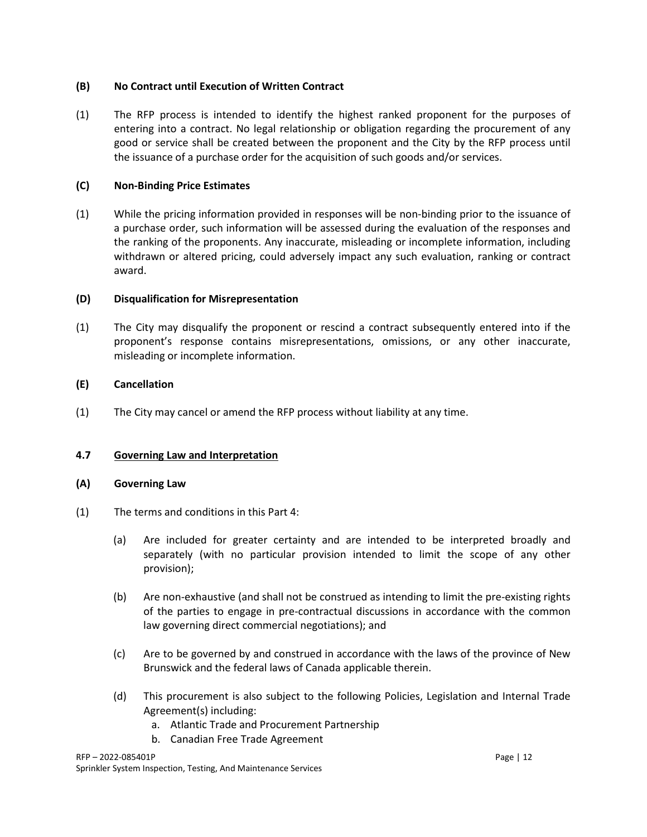## **(B) No Contract until Execution of Written Contract**

(1) The RFP process is intended to identify the highest ranked proponent for the purposes of entering into a contract. No legal relationship or obligation regarding the procurement of any good or service shall be created between the proponent and the City by the RFP process until the issuance of a purchase order for the acquisition of such goods and/or services.

#### **(C) Non-Binding Price Estimates**

(1) While the pricing information provided in responses will be non-binding prior to the issuance of a purchase order, such information will be assessed during the evaluation of the responses and the ranking of the proponents. Any inaccurate, misleading or incomplete information, including withdrawn or altered pricing, could adversely impact any such evaluation, ranking or contract award.

#### **(D) Disqualification for Misrepresentation**

(1) The City may disqualify the proponent or rescind a contract subsequently entered into if the proponent's response contains misrepresentations, omissions, or any other inaccurate, misleading or incomplete information.

## **(E) Cancellation**

(1) The City may cancel or amend the RFP process without liability at any time.

#### **4.7 Governing Law and Interpretation**

#### **(A) Governing Law**

- (1) The terms and conditions in this Part 4:
	- (a) Are included for greater certainty and are intended to be interpreted broadly and separately (with no particular provision intended to limit the scope of any other provision);
	- (b) Are non-exhaustive (and shall not be construed as intending to limit the pre-existing rights of the parties to engage in pre-contractual discussions in accordance with the common law governing direct commercial negotiations); and
	- (c) Are to be governed by and construed in accordance with the laws of the province of New Brunswick and the federal laws of Canada applicable therein.
	- (d) This procurement is also subject to the following Policies, Legislation and Internal Trade Agreement(s) including:
		- a. Atlantic Trade and Procurement Partnership
		- b. Canadian Free Trade Agreement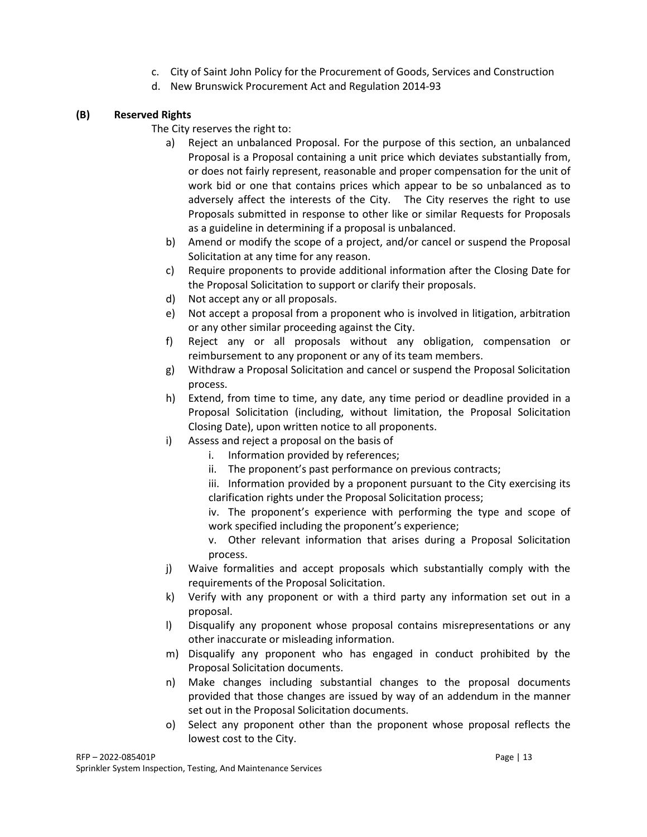- c. City of Saint John Policy for the Procurement of Goods, Services and Construction
- d. New Brunswick Procurement Act and Regulation 2014-93

# **(B) Reserved Rights**

The City reserves the right to:

- a) Reject an unbalanced Proposal. For the purpose of this section, an unbalanced Proposal is a Proposal containing a unit price which deviates substantially from, or does not fairly represent, reasonable and proper compensation for the unit of work bid or one that contains prices which appear to be so unbalanced as to adversely affect the interests of the City. The City reserves the right to use Proposals submitted in response to other like or similar Requests for Proposals as a guideline in determining if a proposal is unbalanced.
- b) Amend or modify the scope of a project, and/or cancel or suspend the Proposal Solicitation at any time for any reason.
- c) Require proponents to provide additional information after the Closing Date for the Proposal Solicitation to support or clarify their proposals.
- d) Not accept any or all proposals.
- e) Not accept a proposal from a proponent who is involved in litigation, arbitration or any other similar proceeding against the City.
- f) Reject any or all proposals without any obligation, compensation or reimbursement to any proponent or any of its team members.
- g) Withdraw a Proposal Solicitation and cancel or suspend the Proposal Solicitation process.
- h) Extend, from time to time, any date, any time period or deadline provided in a Proposal Solicitation (including, without limitation, the Proposal Solicitation Closing Date), upon written notice to all proponents.
- i) Assess and reject a proposal on the basis of
	- i. Information provided by references;
	- ii. The proponent's past performance on previous contracts;
	- iii. Information provided by a proponent pursuant to the City exercising its clarification rights under the Proposal Solicitation process;
	- iv. The proponent's experience with performing the type and scope of work specified including the proponent's experience;
	- v. Other relevant information that arises during a Proposal Solicitation process.
- j) Waive formalities and accept proposals which substantially comply with the requirements of the Proposal Solicitation.
- k) Verify with any proponent or with a third party any information set out in a proposal.
- l) Disqualify any proponent whose proposal contains misrepresentations or any other inaccurate or misleading information.
- m) Disqualify any proponent who has engaged in conduct prohibited by the Proposal Solicitation documents.
- n) Make changes including substantial changes to the proposal documents provided that those changes are issued by way of an addendum in the manner set out in the Proposal Solicitation documents.
- o) Select any proponent other than the proponent whose proposal reflects the lowest cost to the City.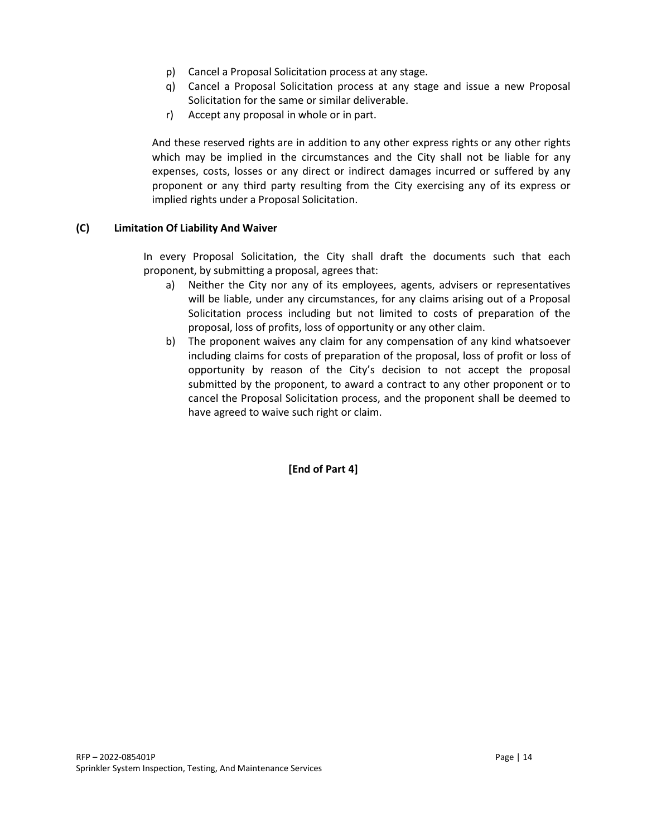- p) Cancel a Proposal Solicitation process at any stage.
- q) Cancel a Proposal Solicitation process at any stage and issue a new Proposal Solicitation for the same or similar deliverable.
- r) Accept any proposal in whole or in part.

And these reserved rights are in addition to any other express rights or any other rights which may be implied in the circumstances and the City shall not be liable for any expenses, costs, losses or any direct or indirect damages incurred or suffered by any proponent or any third party resulting from the City exercising any of its express or implied rights under a Proposal Solicitation.

#### **(C) Limitation Of Liability And Waiver**

In every Proposal Solicitation, the City shall draft the documents such that each proponent, by submitting a proposal, agrees that:

- a) Neither the City nor any of its employees, agents, advisers or representatives will be liable, under any circumstances, for any claims arising out of a Proposal Solicitation process including but not limited to costs of preparation of the proposal, loss of profits, loss of opportunity or any other claim.
- b) The proponent waives any claim for any compensation of any kind whatsoever including claims for costs of preparation of the proposal, loss of profit or loss of opportunity by reason of the City's decision to not accept the proposal submitted by the proponent, to award a contract to any other proponent or to cancel the Proposal Solicitation process, and the proponent shall be deemed to have agreed to waive such right or claim.

**[End of Part 4]**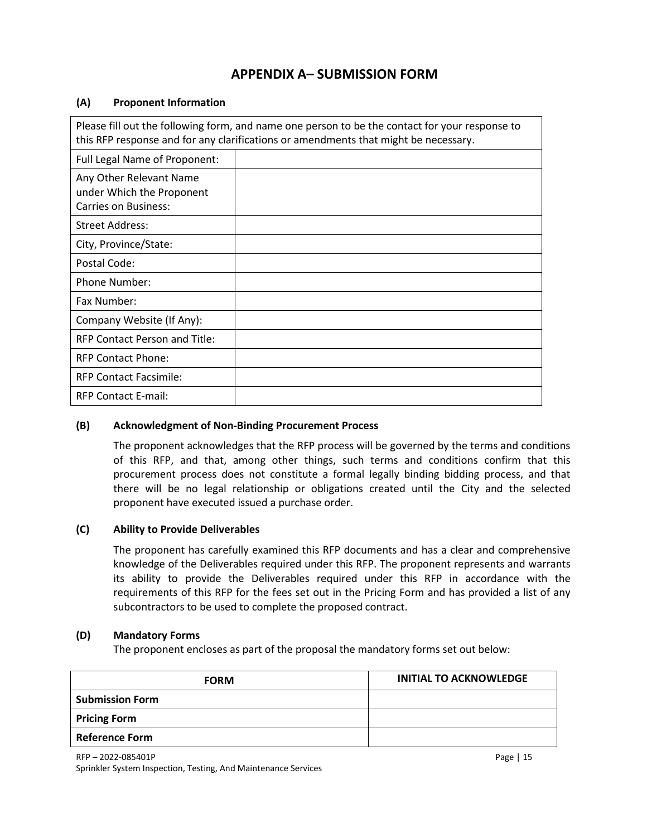# **APPENDIX A– SUBMISSION FORM**

#### **(A) Proponent Information**

| Please fill out the following form, and name one person to be the contact for your response to<br>this RFP response and for any clarifications or amendments that might be necessary. |  |  |  |
|---------------------------------------------------------------------------------------------------------------------------------------------------------------------------------------|--|--|--|
| Full Legal Name of Proponent:                                                                                                                                                         |  |  |  |
| Any Other Relevant Name<br>under Which the Proponent<br><b>Carries on Business:</b>                                                                                                   |  |  |  |
| <b>Street Address:</b>                                                                                                                                                                |  |  |  |
| City, Province/State:                                                                                                                                                                 |  |  |  |
| Postal Code:                                                                                                                                                                          |  |  |  |
| <b>Phone Number:</b>                                                                                                                                                                  |  |  |  |
| Fax Number:                                                                                                                                                                           |  |  |  |
| Company Website (If Any):                                                                                                                                                             |  |  |  |
| RFP Contact Person and Title:                                                                                                                                                         |  |  |  |
| <b>RFP Contact Phone:</b>                                                                                                                                                             |  |  |  |
| <b>RFP Contact Facsimile:</b>                                                                                                                                                         |  |  |  |
| <b>RFP Contact E-mail:</b>                                                                                                                                                            |  |  |  |

#### **(B) Acknowledgment of Non-Binding Procurement Process**

The proponent acknowledges that the RFP process will be governed by the terms and conditions of this RFP, and that, among other things, such terms and conditions confirm that this procurement process does not constitute a formal legally binding bidding process, and that there will be no legal relationship or obligations created until the City and the selected proponent have executed issued a purchase order.

# **(C) Ability to Provide Deliverables**

The proponent has carefully examined this RFP documents and has a clear and comprehensive knowledge of the Deliverables required under this RFP. The proponent represents and warrants its ability to provide the Deliverables required under this RFP in accordance with the requirements of this RFP for the fees set out in the Pricing Form and has provided a list of any subcontractors to be used to complete the proposed contract.

#### **(D) Mandatory Forms**

The proponent encloses as part of the proposal the mandatory forms set out below:

| <b>FORM</b>            | <b>INITIAL TO ACKNOWLEDGE</b> |
|------------------------|-------------------------------|
| <b>Submission Form</b> |                               |
| <b>Pricing Form</b>    |                               |
| <b>Reference Form</b>  |                               |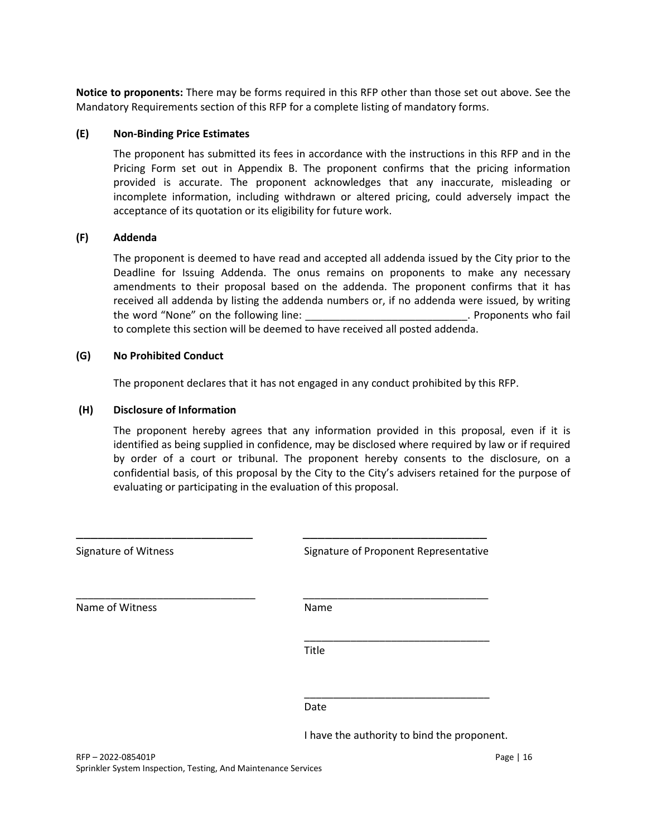**Notice to proponents:** There may be forms required in this RFP other than those set out above. See the Mandatory Requirements section of this RFP for a complete listing of mandatory forms.

#### **(E) Non-Binding Price Estimates**

The proponent has submitted its fees in accordance with the instructions in this RFP and in the Pricing Form set out in Appendix B. The proponent confirms that the pricing information provided is accurate. The proponent acknowledges that any inaccurate, misleading or incomplete information, including withdrawn or altered pricing, could adversely impact the acceptance of its quotation or its eligibility for future work.

#### **(F) Addenda**

The proponent is deemed to have read and accepted all addenda issued by the City prior to the Deadline for Issuing Addenda. The onus remains on proponents to make any necessary amendments to their proposal based on the addenda. The proponent confirms that it has received all addenda by listing the addenda numbers or, if no addenda were issued, by writing the word "None" on the following line: example the word "None" on the following line: to complete this section will be deemed to have received all posted addenda.

#### **(G) No Prohibited Conduct**

The proponent declares that it has not engaged in any conduct prohibited by this RFP.

#### **(H) Disclosure of Information**

The proponent hereby agrees that any information provided in this proposal, even if it is identified as being supplied in confidence, may be disclosed where required by law or if required by order of a court or tribunal. The proponent hereby consents to the disclosure, on a confidential basis, of this proposal by the City to the City's advisers retained for the purpose of evaluating or participating in the evaluation of this proposal.

| <b>Signature of Witness</b> | Signature of Proponent Representative       |
|-----------------------------|---------------------------------------------|
| Name of Witness             | Name                                        |
|                             | Title                                       |
|                             | Date                                        |
|                             | I have the authority to bind the proponent. |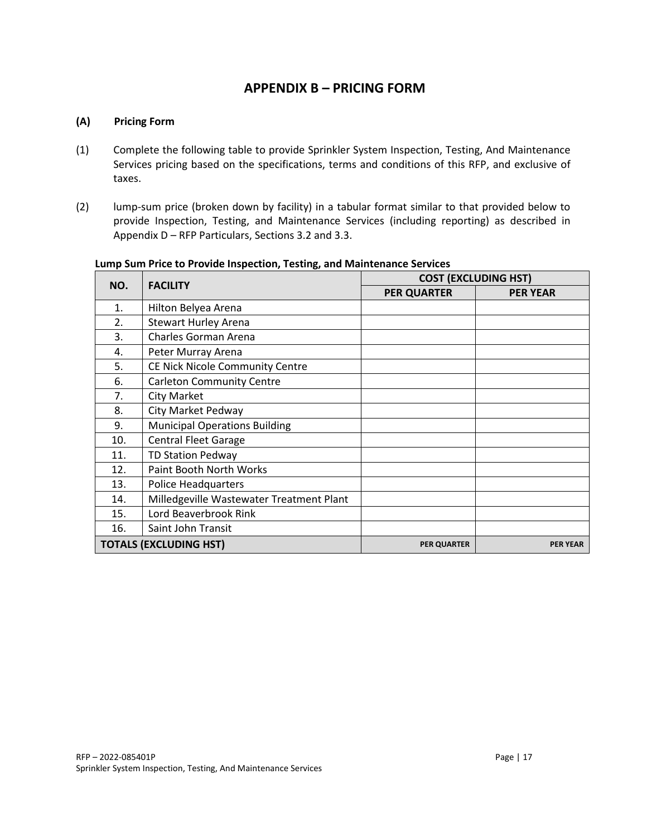# **APPENDIX B – PRICING FORM**

#### **(A) Pricing Form**

- (1) Complete the following table to provide Sprinkler System Inspection, Testing, And Maintenance Services pricing based on the specifications, terms and conditions of this RFP, and exclusive of taxes.
- (2) lump-sum price (broken down by facility) in a tabular format similar to that provided below to provide Inspection, Testing, and Maintenance Services (including reporting) as described in Appendix D – RFP Particulars, Sections 3.2 and 3.3.

| NO. | <b>FACILITY</b>                          | <b>COST (EXCLUDING HST)</b> |                 |
|-----|------------------------------------------|-----------------------------|-----------------|
|     |                                          | <b>PER QUARTER</b>          | <b>PER YEAR</b> |
| 1.  | Hilton Belyea Arena                      |                             |                 |
| 2.  | <b>Stewart Hurley Arena</b>              |                             |                 |
| 3.  | Charles Gorman Arena                     |                             |                 |
| 4.  | Peter Murray Arena                       |                             |                 |
| 5.  | <b>CE Nick Nicole Community Centre</b>   |                             |                 |
| 6.  | <b>Carleton Community Centre</b>         |                             |                 |
| 7.  | City Market                              |                             |                 |
| 8.  | City Market Pedway                       |                             |                 |
| 9.  | <b>Municipal Operations Building</b>     |                             |                 |
| 10. | <b>Central Fleet Garage</b>              |                             |                 |
| 11. | <b>TD Station Pedway</b>                 |                             |                 |
| 12. | Paint Booth North Works                  |                             |                 |
| 13. | <b>Police Headquarters</b>               |                             |                 |
| 14. | Milledgeville Wastewater Treatment Plant |                             |                 |
| 15. | Lord Beaverbrook Rink                    |                             |                 |
| 16. | Saint John Transit                       |                             |                 |
|     | <b>TOTALS (EXCLUDING HST)</b>            | <b>PER QUARTER</b>          | <b>PER YEAR</b> |

#### **Lump Sum Price to Provide Inspection, Testing, and Maintenance Services**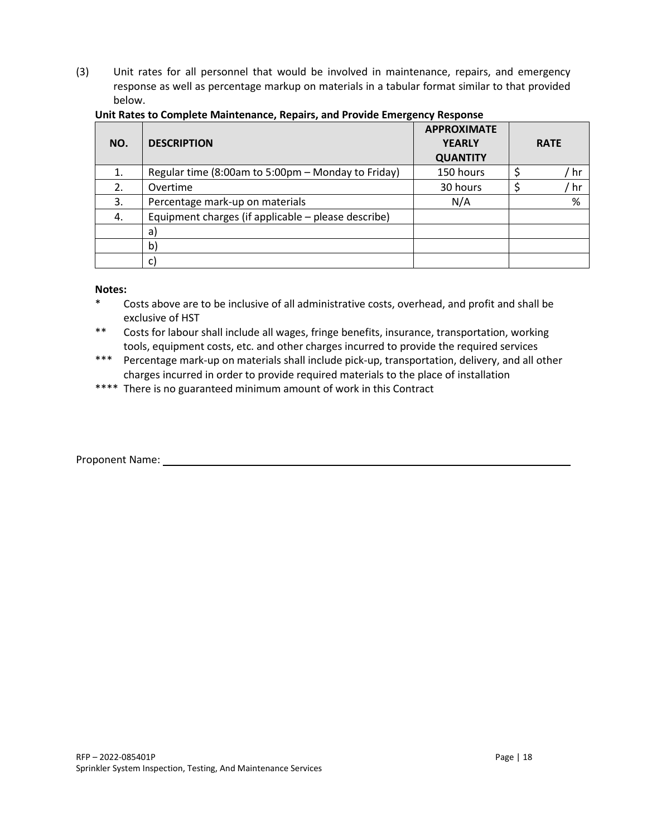(3) Unit rates for all personnel that would be involved in maintenance, repairs, and emergency response as well as percentage markup on materials in a tabular format similar to that provided below.

| NO. | <b>DESCRIPTION</b>                                  | <b>APPROXIMATE</b><br><b>YEARLY</b><br><b>QUANTITY</b> | <b>RATE</b> |
|-----|-----------------------------------------------------|--------------------------------------------------------|-------------|
| 1.  | Regular time (8:00am to 5:00pm - Monday to Friday)  | 150 hours                                              | hr          |
| 2.  | Overtime                                            | 30 hours                                               | hr ّ        |
| 3.  | Percentage mark-up on materials                     | N/A                                                    | %           |
| 4.  | Equipment charges (if applicable - please describe) |                                                        |             |
|     | a)                                                  |                                                        |             |
|     | b)                                                  |                                                        |             |
|     | C)                                                  |                                                        |             |

#### **Unit Rates to Complete Maintenance, Repairs, and Provide Emergency Response**

#### **Notes:**

- \* Costs above are to be inclusive of all administrative costs, overhead, and profit and shall be exclusive of HST
- \*\* Costs for labour shall include all wages, fringe benefits, insurance, transportation, working tools, equipment costs, etc. and other charges incurred to provide the required services
- \*\*\* Percentage mark-up on materials shall include pick-up, transportation, delivery, and all other charges incurred in order to provide required materials to the place of installation
- \*\*\*\* There is no guaranteed minimum amount of work in this Contract

#### Proponent Name: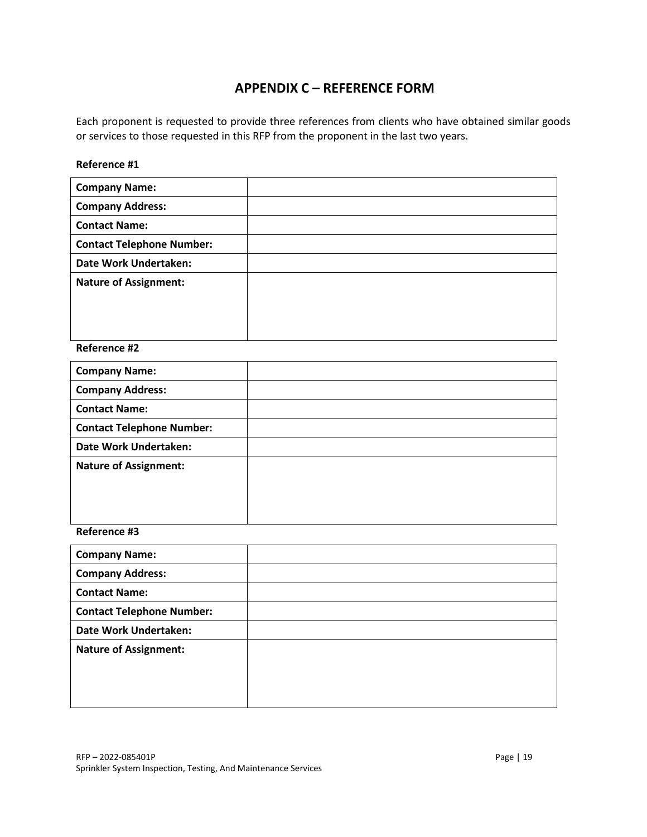# **APPENDIX C – REFERENCE FORM**

Each proponent is requested to provide three references from clients who have obtained similar goods or services to those requested in this RFP from the proponent in the last two years.

## **Reference #1**

| <b>Company Name:</b>             |  |
|----------------------------------|--|
| <b>Company Address:</b>          |  |
| <b>Contact Name:</b>             |  |
| <b>Contact Telephone Number:</b> |  |
| Date Work Undertaken:            |  |
| <b>Nature of Assignment:</b>     |  |
|                                  |  |
|                                  |  |
|                                  |  |

#### **Reference #2**

| <b>Company Name:</b>             |  |
|----------------------------------|--|
| <b>Company Address:</b>          |  |
| <b>Contact Name:</b>             |  |
| <b>Contact Telephone Number:</b> |  |
| Date Work Undertaken:            |  |
| <b>Nature of Assignment:</b>     |  |
|                                  |  |
|                                  |  |
|                                  |  |

## **Reference #3**

| <b>Company Name:</b>             |  |
|----------------------------------|--|
| <b>Company Address:</b>          |  |
| <b>Contact Name:</b>             |  |
| <b>Contact Telephone Number:</b> |  |
| <b>Date Work Undertaken:</b>     |  |
| <b>Nature of Assignment:</b>     |  |
|                                  |  |
|                                  |  |
|                                  |  |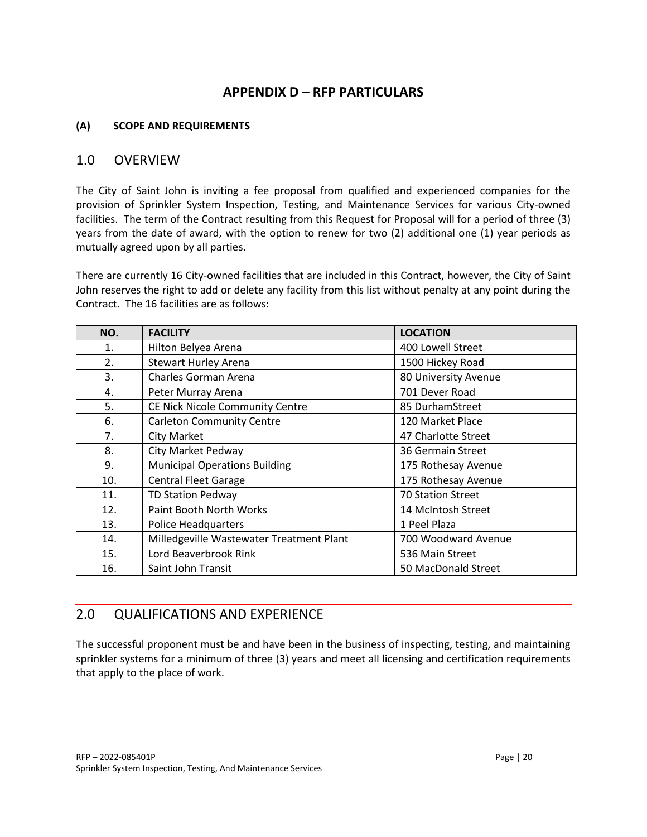# **APPENDIX D – RFP PARTICULARS**

# **(A) SCOPE AND REQUIREMENTS**

# 1.0 OVERVIEW

The City of Saint John is inviting a fee proposal from qualified and experienced companies for the provision of Sprinkler System Inspection, Testing, and Maintenance Services for various City-owned facilities. The term of the Contract resulting from this Request for Proposal will for a period of three (3) years from the date of award, with the option to renew for two (2) additional one (1) year periods as mutually agreed upon by all parties.

There are currently 16 City-owned facilities that are included in this Contract, however, the City of Saint John reserves the right to add or delete any facility from this list without penalty at any point during the Contract. The 16 facilities are as follows:

| NO. | <b>FACILITY</b>                          | <b>LOCATION</b>          |
|-----|------------------------------------------|--------------------------|
| 1.  | Hilton Belyea Arena                      | 400 Lowell Street        |
| 2.  | <b>Stewart Hurley Arena</b>              | 1500 Hickey Road         |
| 3.  | Charles Gorman Arena                     | 80 University Avenue     |
| 4.  | Peter Murray Arena                       | 701 Dever Road           |
| 5.  | CE Nick Nicole Community Centre          | 85 DurhamStreet          |
| 6.  | <b>Carleton Community Centre</b>         | 120 Market Place         |
| 7.  | <b>City Market</b>                       | 47 Charlotte Street      |
| 8.  | <b>City Market Pedway</b>                | 36 Germain Street        |
| 9.  | <b>Municipal Operations Building</b>     | 175 Rothesay Avenue      |
| 10. | <b>Central Fleet Garage</b>              | 175 Rothesay Avenue      |
| 11. | <b>TD Station Pedway</b>                 | <b>70 Station Street</b> |
| 12. | Paint Booth North Works                  | 14 McIntosh Street       |
| 13. | <b>Police Headquarters</b>               | 1 Peel Plaza             |
| 14. | Milledgeville Wastewater Treatment Plant | 700 Woodward Avenue      |
| 15. | Lord Beaverbrook Rink                    | 536 Main Street          |
| 16. | Saint John Transit                       | 50 MacDonald Street      |

# 2.0 QUALIFICATIONS AND EXPERIENCE

The successful proponent must be and have been in the business of inspecting, testing, and maintaining sprinkler systems for a minimum of three (3) years and meet all licensing and certification requirements that apply to the place of work.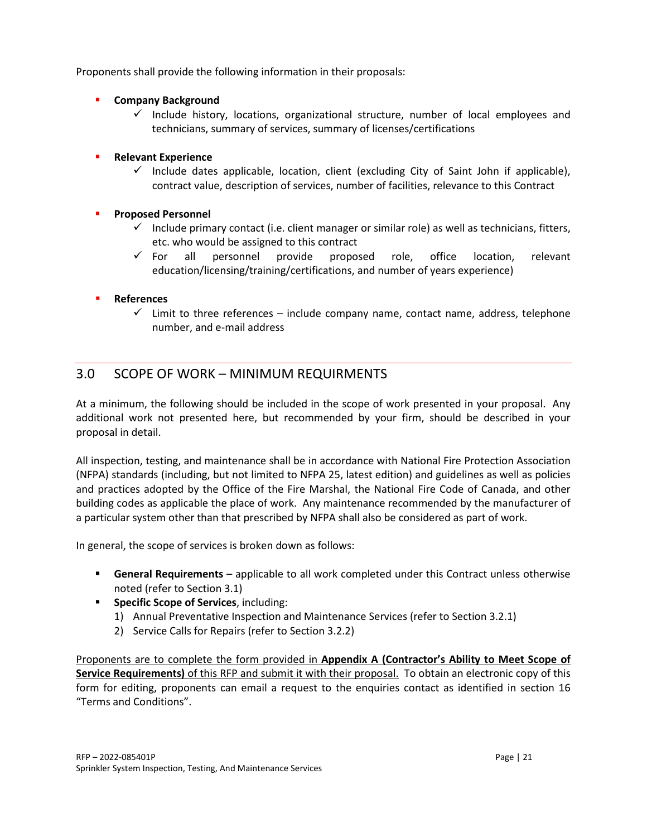Proponents shall provide the following information in their proposals:

- **Company Background**
	- $\checkmark$  Include history, locations, organizational structure, number of local employees and technicians, summary of services, summary of licenses/certifications
- **Relevant Experience** 
	- $\checkmark$  Include dates applicable, location, client (excluding City of Saint John if applicable), contract value, description of services, number of facilities, relevance to this Contract
- **Proposed Personnel** 
	- $\checkmark$  Include primary contact (i.e. client manager or similar role) as well as technicians, fitters, etc. who would be assigned to this contract
	- $\checkmark$  For all personnel provide proposed role, office location, relevant education/licensing/training/certifications, and number of years experience)

# **References**

 $\checkmark$  Limit to three references – include company name, contact name, address, telephone number, and e-mail address

# 3.0 SCOPE OF WORK – MINIMUM REQUIRMENTS

At a minimum, the following should be included in the scope of work presented in your proposal. Any additional work not presented here, but recommended by your firm, should be described in your proposal in detail.

All inspection, testing, and maintenance shall be in accordance with National Fire Protection Association (NFPA) standards (including, but not limited to NFPA 25, latest edition) and guidelines as well as policies and practices adopted by the Office of the Fire Marshal, the National Fire Code of Canada, and other building codes as applicable the place of work. Any maintenance recommended by the manufacturer of a particular system other than that prescribed by NFPA shall also be considered as part of work.

In general, the scope of services is broken down as follows:

- **General Requirements** applicable to all work completed under this Contract unless otherwise noted (refer to Section 3.1)
- **F** Specific Scope of Services, including:
	- 1) Annual Preventative Inspection and Maintenance Services (refer to Section 3.2.1)
	- 2) Service Calls for Repairs (refer to Section 3.2.2)

Proponents are to complete the form provided in **Appendix A (Contractor's Ability to Meet Scope of Service Requirements)** of this RFP and submit it with their proposal. To obtain an electronic copy of this form for editing, proponents can email a request to the enquiries contact as identified in section 16 "Terms and Conditions".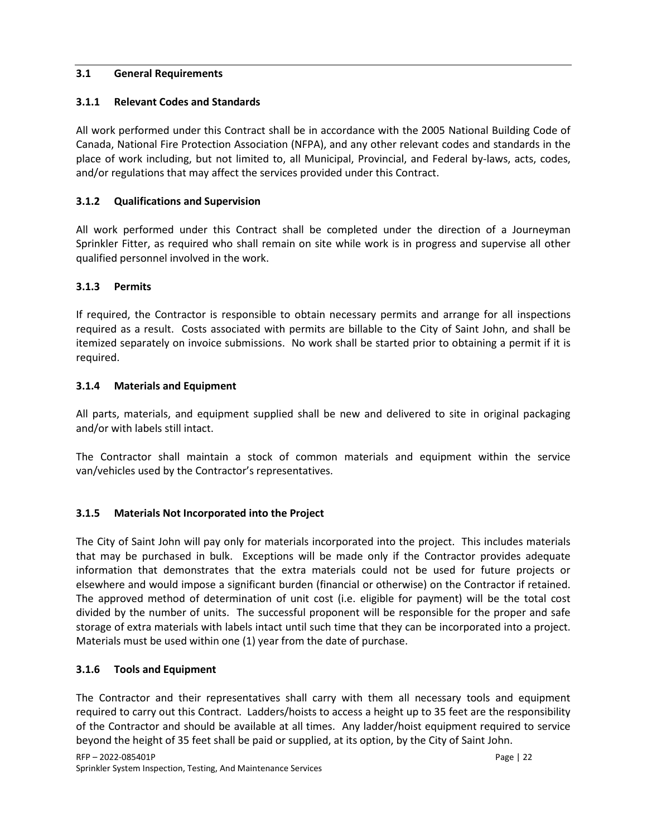## **3.1 General Requirements**

# **3.1.1 Relevant Codes and Standards**

All work performed under this Contract shall be in accordance with the 2005 National Building Code of Canada, National Fire Protection Association (NFPA), and any other relevant codes and standards in the place of work including, but not limited to, all Municipal, Provincial, and Federal by-laws, acts, codes, and/or regulations that may affect the services provided under this Contract.

# **3.1.2 Qualifications and Supervision**

All work performed under this Contract shall be completed under the direction of a Journeyman Sprinkler Fitter, as required who shall remain on site while work is in progress and supervise all other qualified personnel involved in the work.

## **3.1.3 Permits**

If required, the Contractor is responsible to obtain necessary permits and arrange for all inspections required as a result. Costs associated with permits are billable to the City of Saint John, and shall be itemized separately on invoice submissions. No work shall be started prior to obtaining a permit if it is required.

#### **3.1.4 Materials and Equipment**

All parts, materials, and equipment supplied shall be new and delivered to site in original packaging and/or with labels still intact.

The Contractor shall maintain a stock of common materials and equipment within the service van/vehicles used by the Contractor's representatives.

# **3.1.5 Materials Not Incorporated into the Project**

The City of Saint John will pay only for materials incorporated into the project. This includes materials that may be purchased in bulk. Exceptions will be made only if the Contractor provides adequate information that demonstrates that the extra materials could not be used for future projects or elsewhere and would impose a significant burden (financial or otherwise) on the Contractor if retained. The approved method of determination of unit cost (i.e. eligible for payment) will be the total cost divided by the number of units. The successful proponent will be responsible for the proper and safe storage of extra materials with labels intact until such time that they can be incorporated into a project. Materials must be used within one (1) year from the date of purchase.

#### **3.1.6 Tools and Equipment**

The Contractor and their representatives shall carry with them all necessary tools and equipment required to carry out this Contract. Ladders/hoists to access a height up to 35 feet are the responsibility of the Contractor and should be available at all times. Any ladder/hoist equipment required to service beyond the height of 35 feet shall be paid or supplied, at its option, by the City of Saint John.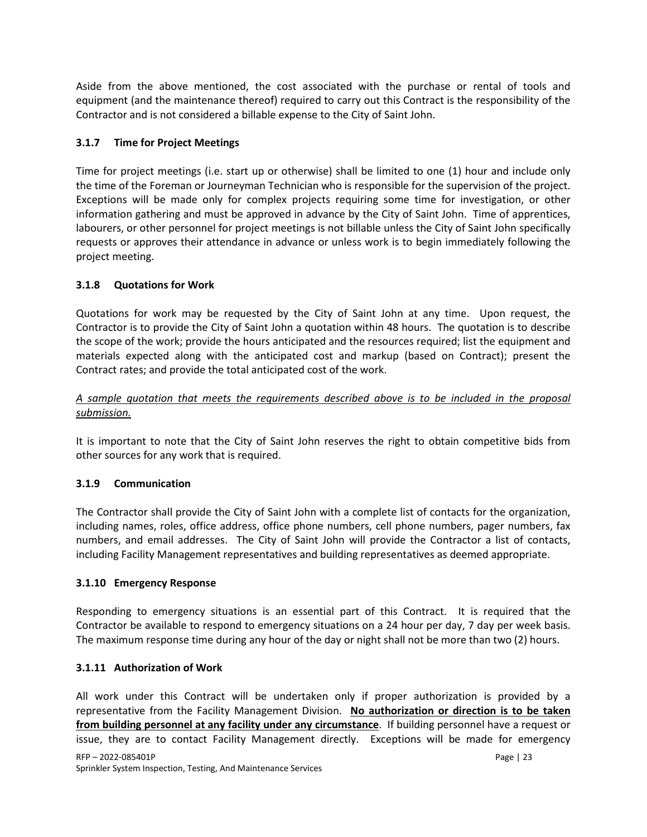Aside from the above mentioned, the cost associated with the purchase or rental of tools and equipment (and the maintenance thereof) required to carry out this Contract is the responsibility of the Contractor and is not considered a billable expense to the City of Saint John.

# **3.1.7 Time for Project Meetings**

Time for project meetings (i.e. start up or otherwise) shall be limited to one (1) hour and include only the time of the Foreman or Journeyman Technician who is responsible for the supervision of the project. Exceptions will be made only for complex projects requiring some time for investigation, or other information gathering and must be approved in advance by the City of Saint John. Time of apprentices, labourers, or other personnel for project meetings is not billable unless the City of Saint John specifically requests or approves their attendance in advance or unless work is to begin immediately following the project meeting.

## **3.1.8 Quotations for Work**

Quotations for work may be requested by the City of Saint John at any time. Upon request, the Contractor is to provide the City of Saint John a quotation within 48 hours. The quotation is to describe the scope of the work; provide the hours anticipated and the resources required; list the equipment and materials expected along with the anticipated cost and markup (based on Contract); present the Contract rates; and provide the total anticipated cost of the work.

## *A sample quotation that meets the requirements described above is to be included in the proposal submission.*

It is important to note that the City of Saint John reserves the right to obtain competitive bids from other sources for any work that is required.

#### **3.1.9 Communication**

The Contractor shall provide the City of Saint John with a complete list of contacts for the organization, including names, roles, office address, office phone numbers, cell phone numbers, pager numbers, fax numbers, and email addresses. The City of Saint John will provide the Contractor a list of contacts, including Facility Management representatives and building representatives as deemed appropriate.

#### **3.1.10 Emergency Response**

Responding to emergency situations is an essential part of this Contract. It is required that the Contractor be available to respond to emergency situations on a 24 hour per day, 7 day per week basis. The maximum response time during any hour of the day or night shall not be more than two (2) hours.

#### **3.1.11 Authorization of Work**

All work under this Contract will be undertaken only if proper authorization is provided by a representative from the Facility Management Division. **No authorization or direction is to be taken from building personnel at any facility under any circumstance**. If building personnel have a request or issue, they are to contact Facility Management directly. Exceptions will be made for emergency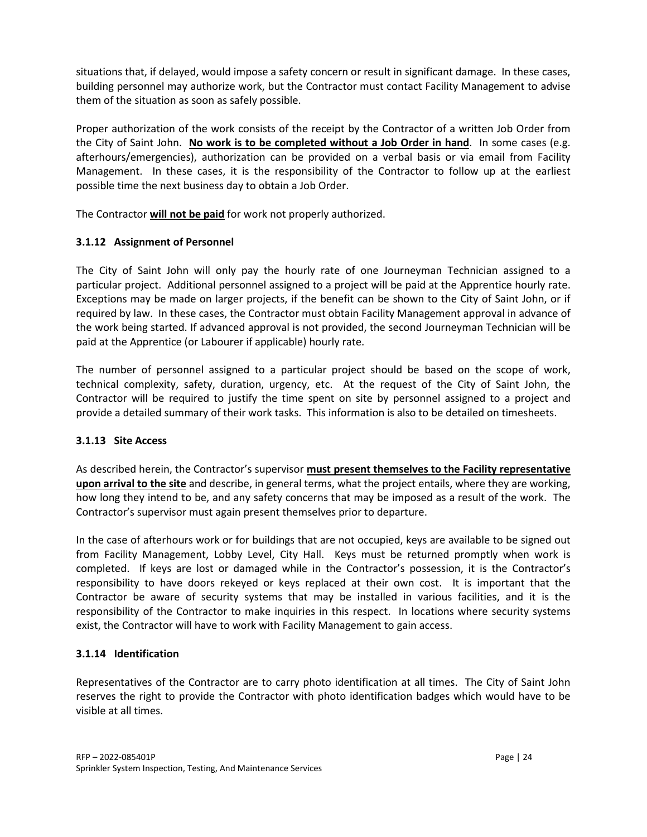situations that, if delayed, would impose a safety concern or result in significant damage. In these cases, building personnel may authorize work, but the Contractor must contact Facility Management to advise them of the situation as soon as safely possible.

Proper authorization of the work consists of the receipt by the Contractor of a written Job Order from the City of Saint John. **No work is to be completed without a Job Order in hand**. In some cases (e.g. afterhours/emergencies), authorization can be provided on a verbal basis or via email from Facility Management. In these cases, it is the responsibility of the Contractor to follow up at the earliest possible time the next business day to obtain a Job Order.

The Contractor **will not be paid** for work not properly authorized.

# **3.1.12 Assignment of Personnel**

The City of Saint John will only pay the hourly rate of one Journeyman Technician assigned to a particular project. Additional personnel assigned to a project will be paid at the Apprentice hourly rate. Exceptions may be made on larger projects, if the benefit can be shown to the City of Saint John, or if required by law. In these cases, the Contractor must obtain Facility Management approval in advance of the work being started. If advanced approval is not provided, the second Journeyman Technician will be paid at the Apprentice (or Labourer if applicable) hourly rate.

The number of personnel assigned to a particular project should be based on the scope of work, technical complexity, safety, duration, urgency, etc. At the request of the City of Saint John, the Contractor will be required to justify the time spent on site by personnel assigned to a project and provide a detailed summary of their work tasks. This information is also to be detailed on timesheets.

# **3.1.13 Site Access**

As described herein, the Contractor's supervisor **must present themselves to the Facility representative upon arrival to the site** and describe, in general terms, what the project entails, where they are working, how long they intend to be, and any safety concerns that may be imposed as a result of the work. The Contractor's supervisor must again present themselves prior to departure.

In the case of afterhours work or for buildings that are not occupied, keys are available to be signed out from Facility Management, Lobby Level, City Hall. Keys must be returned promptly when work is completed. If keys are lost or damaged while in the Contractor's possession, it is the Contractor's responsibility to have doors rekeyed or keys replaced at their own cost. It is important that the Contractor be aware of security systems that may be installed in various facilities, and it is the responsibility of the Contractor to make inquiries in this respect. In locations where security systems exist, the Contractor will have to work with Facility Management to gain access.

# **3.1.14 Identification**

Representatives of the Contractor are to carry photo identification at all times. The City of Saint John reserves the right to provide the Contractor with photo identification badges which would have to be visible at all times.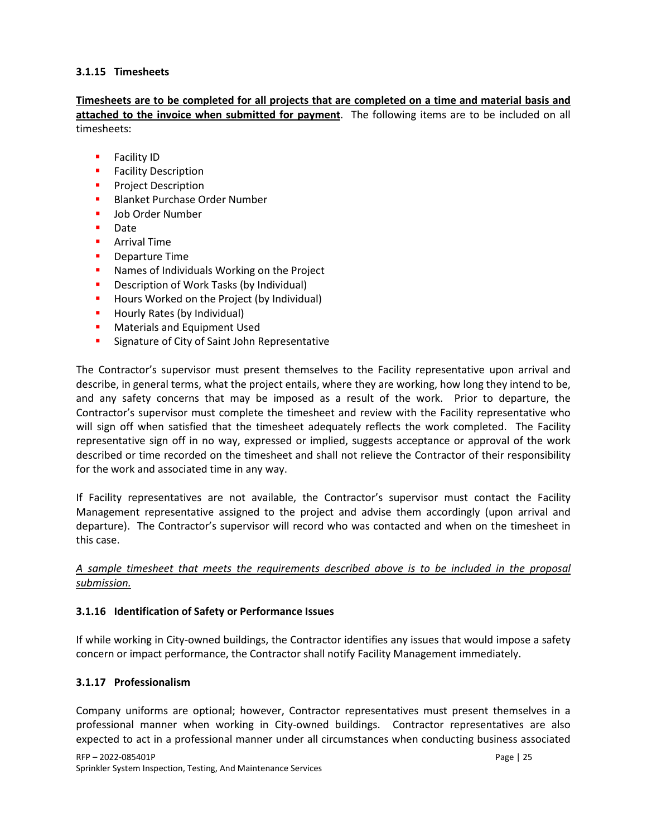## **3.1.15 Timesheets**

**Timesheets are to be completed for all projects that are completed on a time and material basis and attached to the invoice when submitted for payment**. The following items are to be included on all timesheets:

- **Facility ID**
- **Facility Description**
- **Project Description**
- **Blanket Purchase Order Number**
- **Job Order Number**
- Date
- **Arrival Time**
- **•** Departure Time
- **Names of Individuals Working on the Project**
- Description of Work Tasks (by Individual)
- **Hours Worked on the Project (by Individual)**
- **Hourly Rates (by Individual)**
- **Materials and Equipment Used**
- **Signature of City of Saint John Representative**

The Contractor's supervisor must present themselves to the Facility representative upon arrival and describe, in general terms, what the project entails, where they are working, how long they intend to be, and any safety concerns that may be imposed as a result of the work. Prior to departure, the Contractor's supervisor must complete the timesheet and review with the Facility representative who will sign off when satisfied that the timesheet adequately reflects the work completed. The Facility representative sign off in no way, expressed or implied, suggests acceptance or approval of the work described or time recorded on the timesheet and shall not relieve the Contractor of their responsibility for the work and associated time in any way.

If Facility representatives are not available, the Contractor's supervisor must contact the Facility Management representative assigned to the project and advise them accordingly (upon arrival and departure). The Contractor's supervisor will record who was contacted and when on the timesheet in this case.

*A sample timesheet that meets the requirements described above is to be included in the proposal submission.*

#### **3.1.16 Identification of Safety or Performance Issues**

If while working in City-owned buildings, the Contractor identifies any issues that would impose a safety concern or impact performance, the Contractor shall notify Facility Management immediately.

#### **3.1.17 Professionalism**

Company uniforms are optional; however, Contractor representatives must present themselves in a professional manner when working in City-owned buildings. Contractor representatives are also expected to act in a professional manner under all circumstances when conducting business associated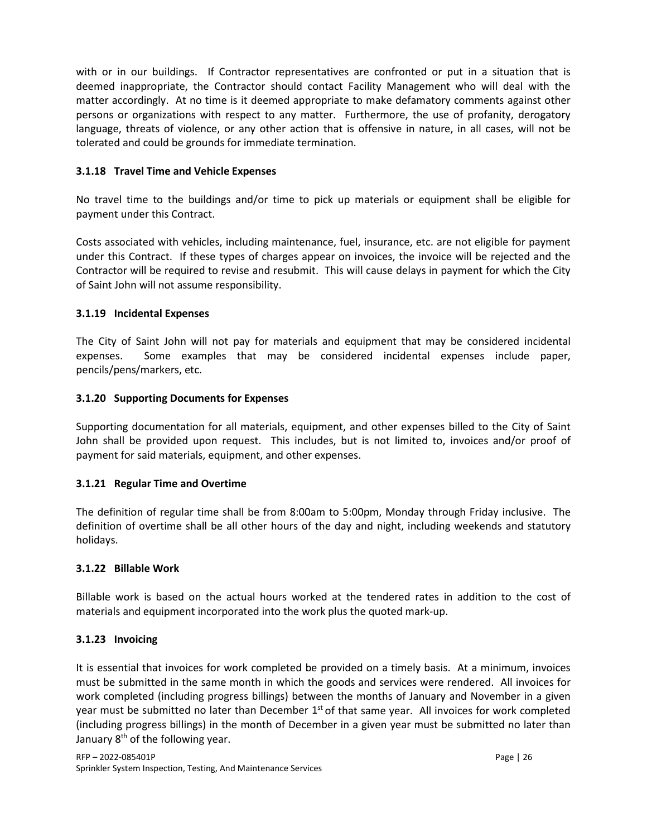with or in our buildings. If Contractor representatives are confronted or put in a situation that is deemed inappropriate, the Contractor should contact Facility Management who will deal with the matter accordingly. At no time is it deemed appropriate to make defamatory comments against other persons or organizations with respect to any matter. Furthermore, the use of profanity, derogatory language, threats of violence, or any other action that is offensive in nature, in all cases, will not be tolerated and could be grounds for immediate termination.

# **3.1.18 Travel Time and Vehicle Expenses**

No travel time to the buildings and/or time to pick up materials or equipment shall be eligible for payment under this Contract.

Costs associated with vehicles, including maintenance, fuel, insurance, etc. are not eligible for payment under this Contract. If these types of charges appear on invoices, the invoice will be rejected and the Contractor will be required to revise and resubmit. This will cause delays in payment for which the City of Saint John will not assume responsibility.

# **3.1.19 Incidental Expenses**

The City of Saint John will not pay for materials and equipment that may be considered incidental expenses. Some examples that may be considered incidental expenses include paper, pencils/pens/markers, etc.

# **3.1.20 Supporting Documents for Expenses**

Supporting documentation for all materials, equipment, and other expenses billed to the City of Saint John shall be provided upon request. This includes, but is not limited to, invoices and/or proof of payment for said materials, equipment, and other expenses.

# **3.1.21 Regular Time and Overtime**

The definition of regular time shall be from 8:00am to 5:00pm, Monday through Friday inclusive. The definition of overtime shall be all other hours of the day and night, including weekends and statutory holidays.

# **3.1.22 Billable Work**

Billable work is based on the actual hours worked at the tendered rates in addition to the cost of materials and equipment incorporated into the work plus the quoted mark-up.

# **3.1.23 Invoicing**

It is essential that invoices for work completed be provided on a timely basis. At a minimum, invoices must be submitted in the same month in which the goods and services were rendered. All invoices for work completed (including progress billings) between the months of January and November in a given year must be submitted no later than December  $1<sup>st</sup>$  of that same year. All invoices for work completed (including progress billings) in the month of December in a given year must be submitted no later than January 8<sup>th</sup> of the following year.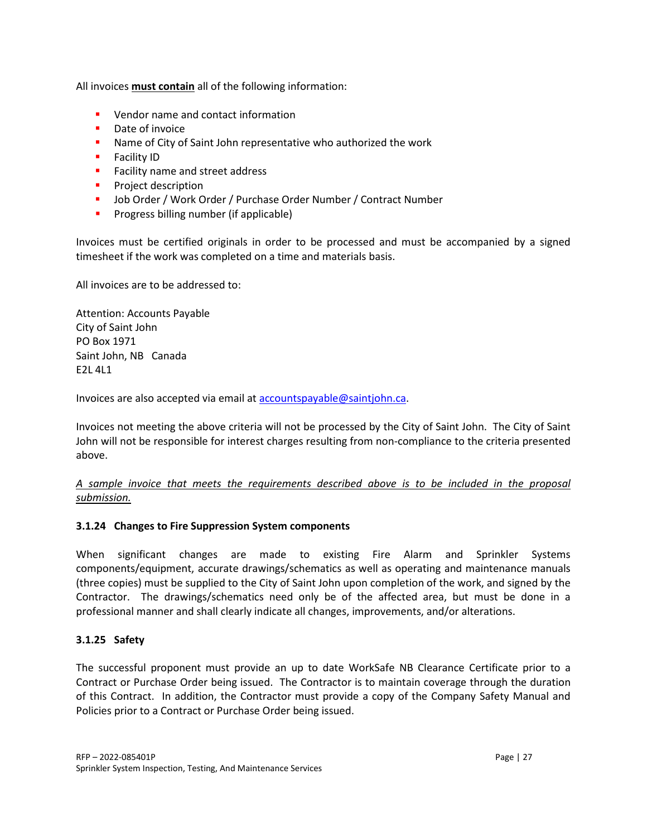All invoices **must contain** all of the following information:

- **U** Vendor name and contact information
- **•** Date of invoice
- **Name of City of Saint John representative who authorized the work**
- **Facility ID**
- **Facility name and street address**
- **Project description**
- Job Order / Work Order / Purchase Order Number / Contract Number
- **Progress billing number (if applicable)**

Invoices must be certified originals in order to be processed and must be accompanied by a signed timesheet if the work was completed on a time and materials basis.

All invoices are to be addressed to:

Attention: Accounts Payable City of Saint John PO Box 1971 Saint John, NB Canada E2L 4L1

Invoices are also accepted via email at [accountspayable@saintjohn.ca.](mailto:accountspayable@saintjohn.ca)

Invoices not meeting the above criteria will not be processed by the City of Saint John. The City of Saint John will not be responsible for interest charges resulting from non-compliance to the criteria presented above.

## *A sample invoice that meets the requirements described above is to be included in the proposal submission.*

#### **3.1.24 Changes to Fire Suppression System components**

When significant changes are made to existing Fire Alarm and Sprinkler Systems components/equipment, accurate drawings/schematics as well as operating and maintenance manuals (three copies) must be supplied to the City of Saint John upon completion of the work, and signed by the Contractor. The drawings/schematics need only be of the affected area, but must be done in a professional manner and shall clearly indicate all changes, improvements, and/or alterations.

#### **3.1.25 Safety**

The successful proponent must provide an up to date WorkSafe NB Clearance Certificate prior to a Contract or Purchase Order being issued. The Contractor is to maintain coverage through the duration of this Contract. In addition, the Contractor must provide a copy of the Company Safety Manual and Policies prior to a Contract or Purchase Order being issued.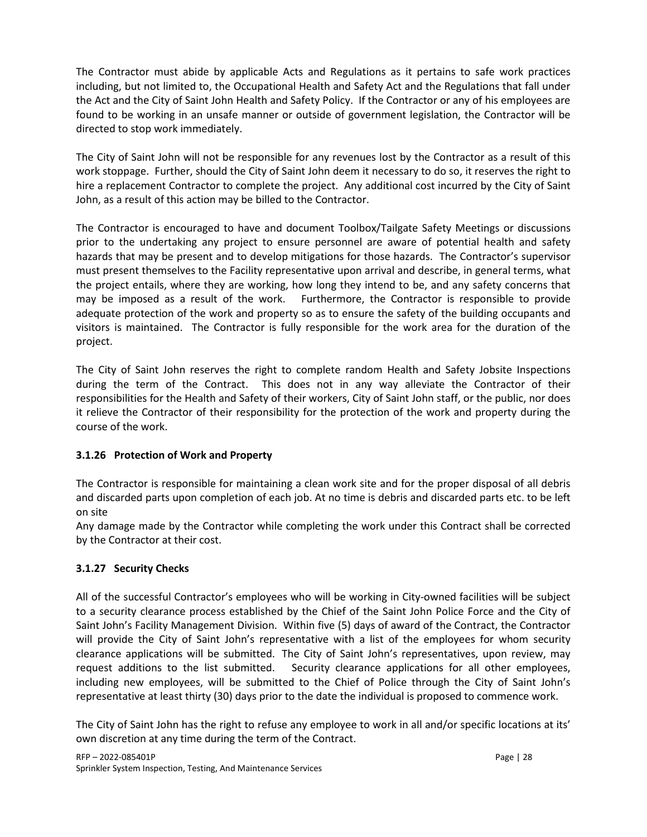The Contractor must abide by applicable Acts and Regulations as it pertains to safe work practices including, but not limited to, the Occupational Health and Safety Act and the Regulations that fall under the Act and the City of Saint John Health and Safety Policy. If the Contractor or any of his employees are found to be working in an unsafe manner or outside of government legislation, the Contractor will be directed to stop work immediately.

The City of Saint John will not be responsible for any revenues lost by the Contractor as a result of this work stoppage. Further, should the City of Saint John deem it necessary to do so, it reserves the right to hire a replacement Contractor to complete the project. Any additional cost incurred by the City of Saint John, as a result of this action may be billed to the Contractor.

The Contractor is encouraged to have and document Toolbox/Tailgate Safety Meetings or discussions prior to the undertaking any project to ensure personnel are aware of potential health and safety hazards that may be present and to develop mitigations for those hazards. The Contractor's supervisor must present themselves to the Facility representative upon arrival and describe, in general terms, what the project entails, where they are working, how long they intend to be, and any safety concerns that may be imposed as a result of the work. Furthermore, the Contractor is responsible to provide adequate protection of the work and property so as to ensure the safety of the building occupants and visitors is maintained. The Contractor is fully responsible for the work area for the duration of the project.

The City of Saint John reserves the right to complete random Health and Safety Jobsite Inspections during the term of the Contract. This does not in any way alleviate the Contractor of their responsibilities for the Health and Safety of their workers, City of Saint John staff, or the public, nor does it relieve the Contractor of their responsibility for the protection of the work and property during the course of the work.

# **3.1.26 Protection of Work and Property**

The Contractor is responsible for maintaining a clean work site and for the proper disposal of all debris and discarded parts upon completion of each job. At no time is debris and discarded parts etc. to be left on site

Any damage made by the Contractor while completing the work under this Contract shall be corrected by the Contractor at their cost.

# **3.1.27 Security Checks**

All of the successful Contractor's employees who will be working in City-owned facilities will be subject to a security clearance process established by the Chief of the Saint John Police Force and the City of Saint John's Facility Management Division. Within five (5) days of award of the Contract, the Contractor will provide the City of Saint John's representative with a list of the employees for whom security clearance applications will be submitted. The City of Saint John's representatives, upon review, may request additions to the list submitted. Security clearance applications for all other employees, including new employees, will be submitted to the Chief of Police through the City of Saint John's representative at least thirty (30) days prior to the date the individual is proposed to commence work.

The City of Saint John has the right to refuse any employee to work in all and/or specific locations at its' own discretion at any time during the term of the Contract.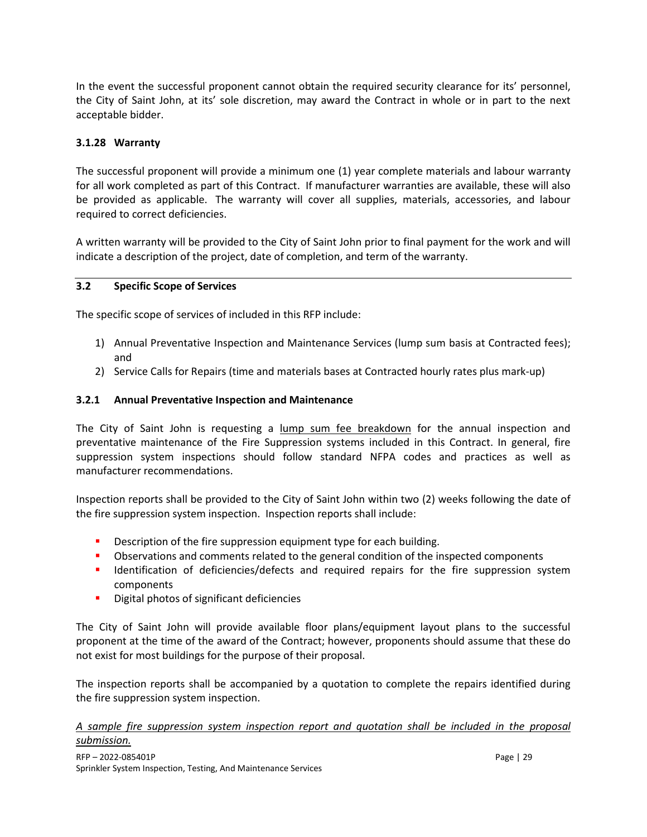In the event the successful proponent cannot obtain the required security clearance for its' personnel, the City of Saint John, at its' sole discretion, may award the Contract in whole or in part to the next acceptable bidder.

# **3.1.28 Warranty**

The successful proponent will provide a minimum one (1) year complete materials and labour warranty for all work completed as part of this Contract. If manufacturer warranties are available, these will also be provided as applicable. The warranty will cover all supplies, materials, accessories, and labour required to correct deficiencies.

A written warranty will be provided to the City of Saint John prior to final payment for the work and will indicate a description of the project, date of completion, and term of the warranty.

#### **3.2 Specific Scope of Services**

The specific scope of services of included in this RFP include:

- 1) Annual Preventative Inspection and Maintenance Services (lump sum basis at Contracted fees); and
- 2) Service Calls for Repairs (time and materials bases at Contracted hourly rates plus mark-up)

#### **3.2.1 Annual Preventative Inspection and Maintenance**

The City of Saint John is requesting a lump sum fee breakdown for the annual inspection and preventative maintenance of the Fire Suppression systems included in this Contract. In general, fire suppression system inspections should follow standard NFPA codes and practices as well as manufacturer recommendations.

Inspection reports shall be provided to the City of Saint John within two (2) weeks following the date of the fire suppression system inspection. Inspection reports shall include:

- Description of the fire suppression equipment type for each building.
- **•** Observations and comments related to the general condition of the inspected components
- **IDENTIFICATION IDENTIFICATION IDENTIFICATION IDENTIFICATION IDENTIFICATION IDENTIFICATION IDENTIFICATION IDENTIFICATION IDENTIFICATION IDENTIFICATION IDENTIFICATION IDENTIFICATION IDENTIFICATION ID** components
- **•** Digital photos of significant deficiencies

The City of Saint John will provide available floor plans/equipment layout plans to the successful proponent at the time of the award of the Contract; however, proponents should assume that these do not exist for most buildings for the purpose of their proposal.

The inspection reports shall be accompanied by a quotation to complete the repairs identified during the fire suppression system inspection.

## *A sample fire suppression system inspection report and quotation shall be included in the proposal submission.*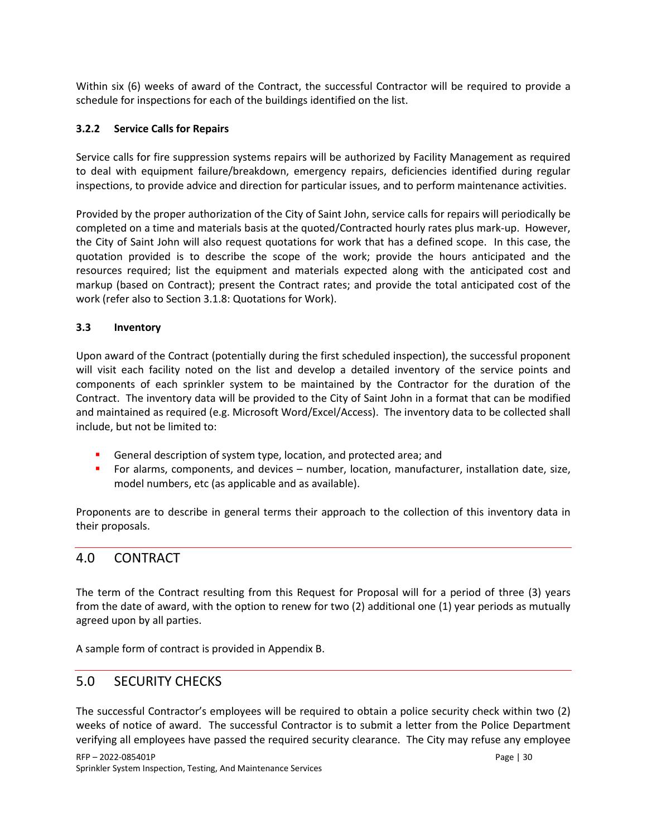Within six (6) weeks of award of the Contract, the successful Contractor will be required to provide a schedule for inspections for each of the buildings identified on the list.

## **3.2.2 Service Calls for Repairs**

Service calls for fire suppression systems repairs will be authorized by Facility Management as required to deal with equipment failure/breakdown, emergency repairs, deficiencies identified during regular inspections, to provide advice and direction for particular issues, and to perform maintenance activities.

Provided by the proper authorization of the City of Saint John, service calls for repairs will periodically be completed on a time and materials basis at the quoted/Contracted hourly rates plus mark-up. However, the City of Saint John will also request quotations for work that has a defined scope. In this case, the quotation provided is to describe the scope of the work; provide the hours anticipated and the resources required; list the equipment and materials expected along with the anticipated cost and markup (based on Contract); present the Contract rates; and provide the total anticipated cost of the work (refer also to Section 3.1.8: Quotations for Work).

#### **3.3 Inventory**

Upon award of the Contract (potentially during the first scheduled inspection), the successful proponent will visit each facility noted on the list and develop a detailed inventory of the service points and components of each sprinkler system to be maintained by the Contractor for the duration of the Contract. The inventory data will be provided to the City of Saint John in a format that can be modified and maintained as required (e.g. Microsoft Word/Excel/Access). The inventory data to be collected shall include, but not be limited to:

- General description of system type, location, and protected area; and
- For alarms, components, and devices number, location, manufacturer, installation date, size, model numbers, etc (as applicable and as available).

Proponents are to describe in general terms their approach to the collection of this inventory data in their proposals.

# 4.0 CONTRACT

The term of the Contract resulting from this Request for Proposal will for a period of three (3) years from the date of award, with the option to renew for two (2) additional one (1) year periods as mutually agreed upon by all parties.

A sample form of contract is provided in Appendix B.

# 5.0 SECURITY CHECKS

The successful Contractor's employees will be required to obtain a police security check within two (2) weeks of notice of award. The successful Contractor is to submit a letter from the Police Department verifying all employees have passed the required security clearance. The City may refuse any employee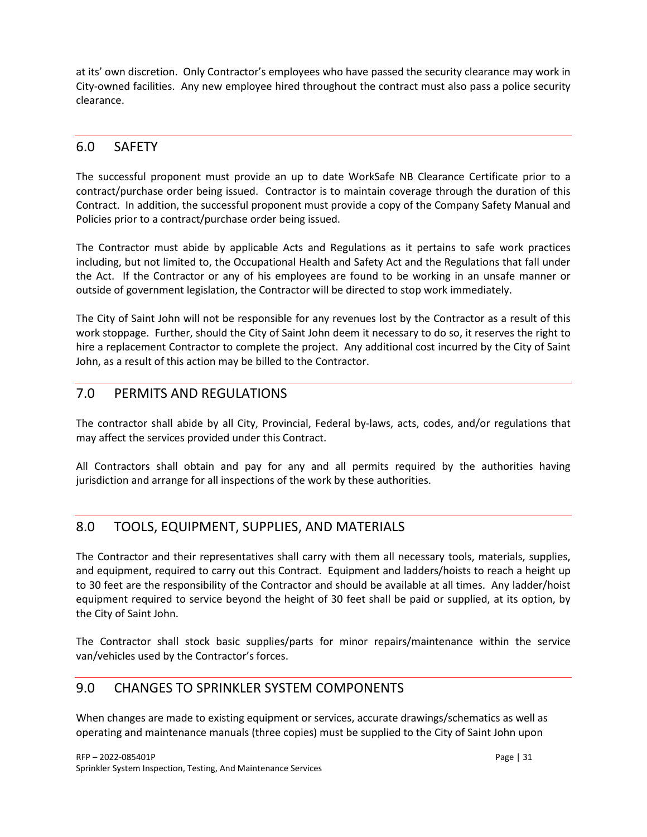at its' own discretion. Only Contractor's employees who have passed the security clearance may work in City-owned facilities. Any new employee hired throughout the contract must also pass a police security clearance.

# 6.0 SAFETY

The successful proponent must provide an up to date WorkSafe NB Clearance Certificate prior to a contract/purchase order being issued. Contractor is to maintain coverage through the duration of this Contract. In addition, the successful proponent must provide a copy of the Company Safety Manual and Policies prior to a contract/purchase order being issued.

The Contractor must abide by applicable Acts and Regulations as it pertains to safe work practices including, but not limited to, the Occupational Health and Safety Act and the Regulations that fall under the Act. If the Contractor or any of his employees are found to be working in an unsafe manner or outside of government legislation, the Contractor will be directed to stop work immediately.

The City of Saint John will not be responsible for any revenues lost by the Contractor as a result of this work stoppage. Further, should the City of Saint John deem it necessary to do so, it reserves the right to hire a replacement Contractor to complete the project. Any additional cost incurred by the City of Saint John, as a result of this action may be billed to the Contractor.

# 7.0 PERMITS AND REGULATIONS

The contractor shall abide by all City, Provincial, Federal by-laws, acts, codes, and/or regulations that may affect the services provided under this Contract.

All Contractors shall obtain and pay for any and all permits required by the authorities having jurisdiction and arrange for all inspections of the work by these authorities.

# 8.0 TOOLS, EQUIPMENT, SUPPLIES, AND MATERIALS

The Contractor and their representatives shall carry with them all necessary tools, materials, supplies, and equipment, required to carry out this Contract. Equipment and ladders/hoists to reach a height up to 30 feet are the responsibility of the Contractor and should be available at all times. Any ladder/hoist equipment required to service beyond the height of 30 feet shall be paid or supplied, at its option, by the City of Saint John.

The Contractor shall stock basic supplies/parts for minor repairs/maintenance within the service van/vehicles used by the Contractor's forces.

# 9.0 CHANGES TO SPRINKLER SYSTEM COMPONENTS

When changes are made to existing equipment or services, accurate drawings/schematics as well as operating and maintenance manuals (three copies) must be supplied to the City of Saint John upon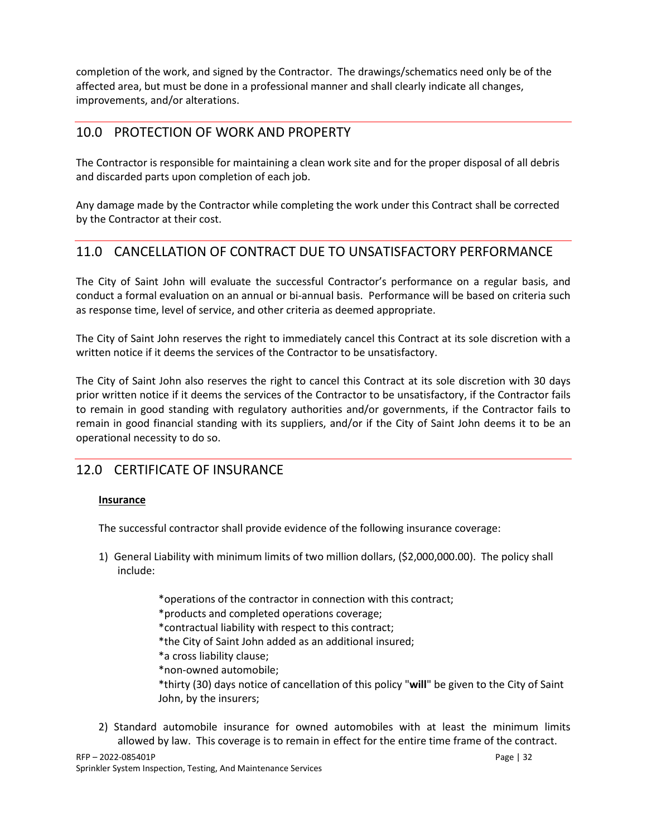completion of the work, and signed by the Contractor. The drawings/schematics need only be of the affected area, but must be done in a professional manner and shall clearly indicate all changes, improvements, and/or alterations.

# 10.0 PROTECTION OF WORK AND PROPERTY

The Contractor is responsible for maintaining a clean work site and for the proper disposal of all debris and discarded parts upon completion of each job.

Any damage made by the Contractor while completing the work under this Contract shall be corrected by the Contractor at their cost.

# 11.0 CANCELLATION OF CONTRACT DUE TO UNSATISFACTORY PERFORMANCE

The City of Saint John will evaluate the successful Contractor's performance on a regular basis, and conduct a formal evaluation on an annual or bi-annual basis. Performance will be based on criteria such as response time, level of service, and other criteria as deemed appropriate.

The City of Saint John reserves the right to immediately cancel this Contract at its sole discretion with a written notice if it deems the services of the Contractor to be unsatisfactory.

The City of Saint John also reserves the right to cancel this Contract at its sole discretion with 30 days prior written notice if it deems the services of the Contractor to be unsatisfactory, if the Contractor fails to remain in good standing with regulatory authorities and/or governments, if the Contractor fails to remain in good financial standing with its suppliers, and/or if the City of Saint John deems it to be an operational necessity to do so.

# 12.0 CERTIFICATE OF INSURANCE

# **Insurance**

The successful contractor shall provide evidence of the following insurance coverage:

- 1) General Liability with minimum limits of two million dollars, (\$2,000,000.00). The policy shall include:
	- \*operations of the contractor in connection with this contract; \*products and completed operations coverage; \*contractual liability with respect to this contract; \*the City of Saint John added as an additional insured; \*a cross liability clause; \*non-owned automobile; \*thirty (30) days notice of cancellation of this policy "**will**" be given to the City of Saint John, by the insurers;
- 2) Standard automobile insurance for owned automobiles with at least the minimum limits allowed by law. This coverage is to remain in effect for the entire time frame of the contract.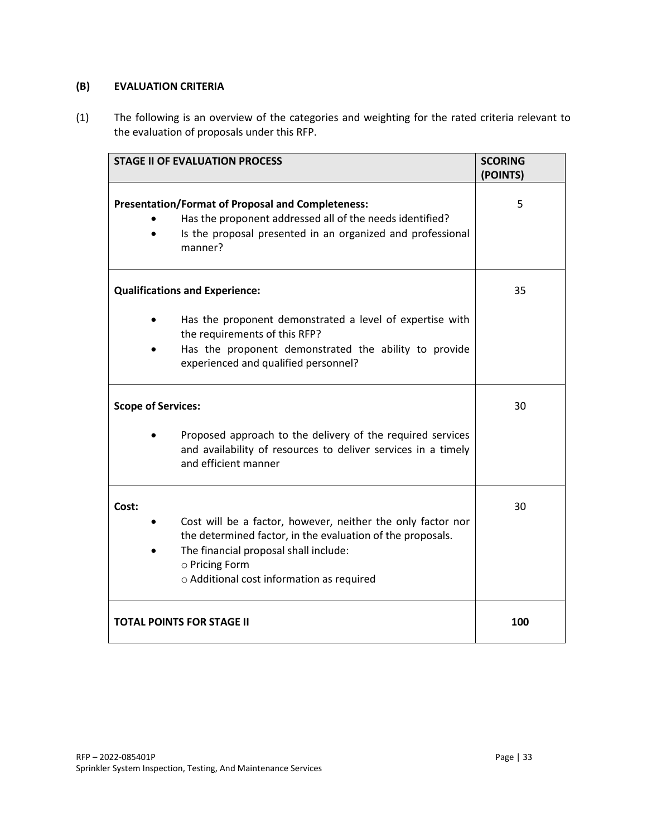# **(B) EVALUATION CRITERIA**

(1) The following is an overview of the categories and weighting for the rated criteria relevant to the evaluation of proposals under this RFP.

| <b>STAGE II OF EVALUATION PROCESS</b>                                                                                                                                                                                                      | <b>SCORING</b><br>(POINTS) |
|--------------------------------------------------------------------------------------------------------------------------------------------------------------------------------------------------------------------------------------------|----------------------------|
| <b>Presentation/Format of Proposal and Completeness:</b><br>Has the proponent addressed all of the needs identified?<br>Is the proposal presented in an organized and professional<br>manner?                                              | 5                          |
| <b>Qualifications and Experience:</b>                                                                                                                                                                                                      | 35                         |
| Has the proponent demonstrated a level of expertise with<br>the requirements of this RFP?<br>Has the proponent demonstrated the ability to provide<br>experienced and qualified personnel?                                                 |                            |
| <b>Scope of Services:</b>                                                                                                                                                                                                                  | 30                         |
| Proposed approach to the delivery of the required services<br>and availability of resources to deliver services in a timely<br>and efficient manner                                                                                        |                            |
| Cost:<br>Cost will be a factor, however, neither the only factor nor<br>the determined factor, in the evaluation of the proposals.<br>The financial proposal shall include:<br>o Pricing Form<br>o Additional cost information as required | 30                         |
| <b>TOTAL POINTS FOR STAGE II</b>                                                                                                                                                                                                           | 100                        |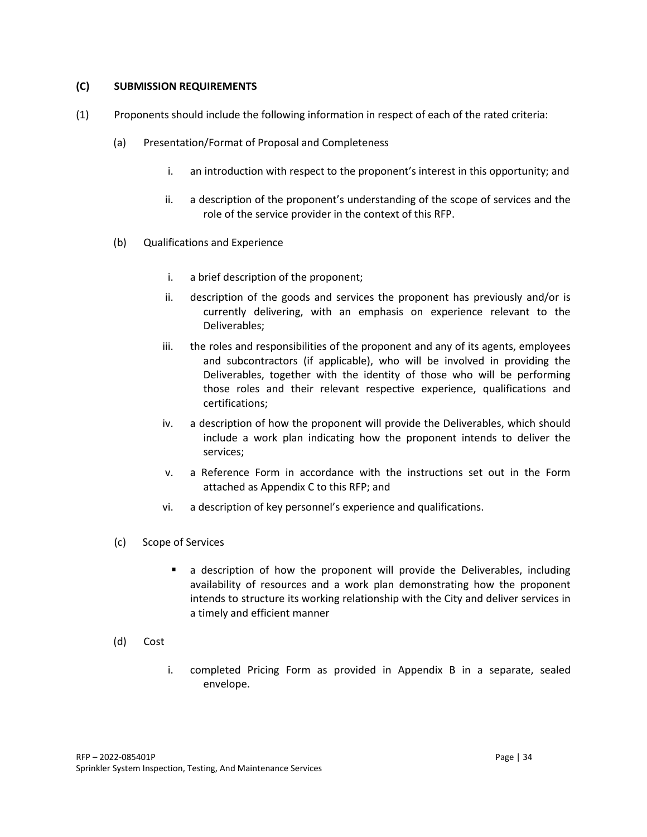#### **(C) SUBMISSION REQUIREMENTS**

- (1) Proponents should include the following information in respect of each of the rated criteria:
	- (a) Presentation/Format of Proposal and Completeness
		- i. an introduction with respect to the proponent's interest in this opportunity; and
		- ii. a description of the proponent's understanding of the scope of services and the role of the service provider in the context of this RFP.
	- (b) Qualifications and Experience
		- i. a brief description of the proponent;
		- ii. description of the goods and services the proponent has previously and/or is currently delivering, with an emphasis on experience relevant to the Deliverables;
		- iii. the roles and responsibilities of the proponent and any of its agents, employees and subcontractors (if applicable), who will be involved in providing the Deliverables, together with the identity of those who will be performing those roles and their relevant respective experience, qualifications and certifications;
		- iv. a description of how the proponent will provide the Deliverables, which should include a work plan indicating how the proponent intends to deliver the services;
		- v. a Reference Form in accordance with the instructions set out in the Form attached as Appendix C to this RFP; and
		- vi. a description of key personnel's experience and qualifications.
	- (c) Scope of Services
		- a description of how the proponent will provide the Deliverables, including availability of resources and a work plan demonstrating how the proponent intends to structure its working relationship with the City and deliver services in a timely and efficient manner
	- (d) Cost
		- i. completed Pricing Form as provided in Appendix B in a separate, sealed envelope.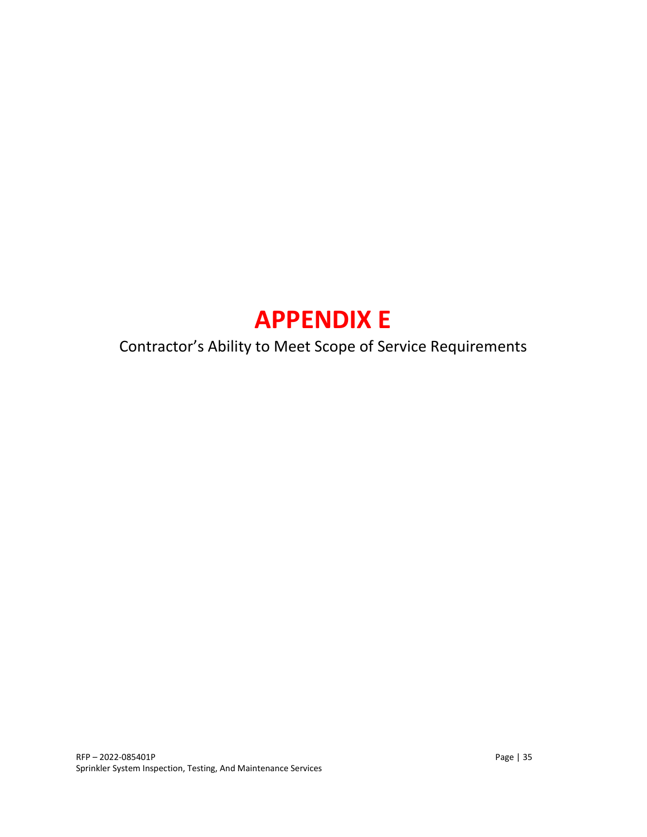# **APPENDIX E**

# Contractor's Ability to Meet Scope of Service Requirements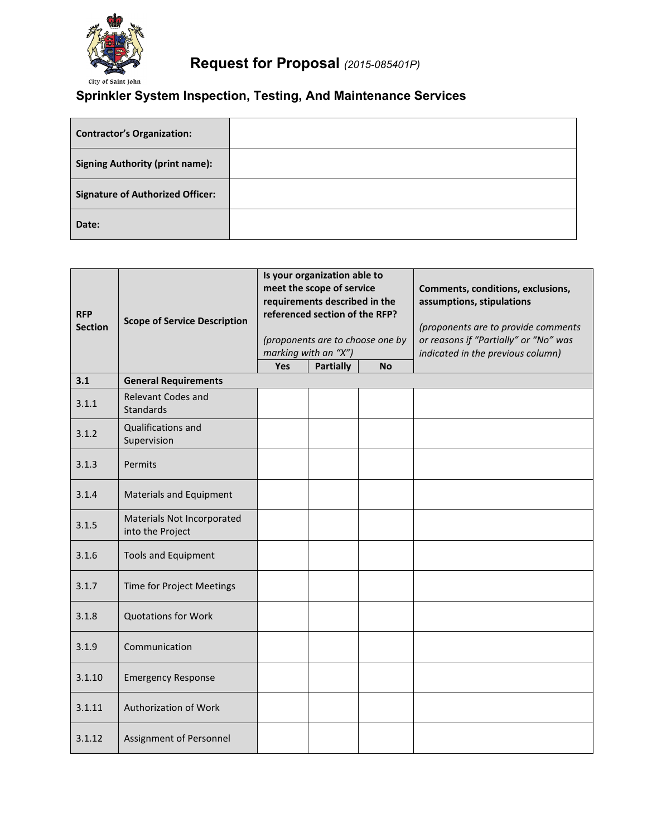

# **Request for Proposal** *(2015-085401P)*

# **Sprinkler System Inspection, Testing, And Maintenance Services**

| <b>Contractor's Organization:</b>       |  |
|-----------------------------------------|--|
| <b>Signing Authority (print name):</b>  |  |
| <b>Signature of Authorized Officer:</b> |  |
| Date:                                   |  |

| <b>RFP</b><br><b>Section</b> | <b>Scope of Service Description</b>            | Is your organization able to<br>meet the scope of service<br>requirements described in the<br>referenced section of the RFP?<br>(proponents are to choose one by<br>marking with an "X") |                  |           | Comments, conditions, exclusions,<br>assumptions, stipulations<br>(proponents are to provide comments<br>or reasons if "Partially" or "No" was<br>indicated in the previous column) |
|------------------------------|------------------------------------------------|------------------------------------------------------------------------------------------------------------------------------------------------------------------------------------------|------------------|-----------|-------------------------------------------------------------------------------------------------------------------------------------------------------------------------------------|
|                              |                                                | Yes                                                                                                                                                                                      | <b>Partially</b> | <b>No</b> |                                                                                                                                                                                     |
| 3.1                          | <b>General Requirements</b>                    |                                                                                                                                                                                          |                  |           |                                                                                                                                                                                     |
| 3.1.1                        | <b>Relevant Codes and</b><br><b>Standards</b>  |                                                                                                                                                                                          |                  |           |                                                                                                                                                                                     |
| 3.1.2                        | Qualifications and<br>Supervision              |                                                                                                                                                                                          |                  |           |                                                                                                                                                                                     |
| 3.1.3                        | <b>Permits</b>                                 |                                                                                                                                                                                          |                  |           |                                                                                                                                                                                     |
| 3.1.4                        | <b>Materials and Equipment</b>                 |                                                                                                                                                                                          |                  |           |                                                                                                                                                                                     |
| 3.1.5                        | Materials Not Incorporated<br>into the Project |                                                                                                                                                                                          |                  |           |                                                                                                                                                                                     |
| 3.1.6                        | <b>Tools and Equipment</b>                     |                                                                                                                                                                                          |                  |           |                                                                                                                                                                                     |
| 3.1.7                        | <b>Time for Project Meetings</b>               |                                                                                                                                                                                          |                  |           |                                                                                                                                                                                     |
| 3.1.8                        | <b>Quotations for Work</b>                     |                                                                                                                                                                                          |                  |           |                                                                                                                                                                                     |
| 3.1.9                        | Communication                                  |                                                                                                                                                                                          |                  |           |                                                                                                                                                                                     |
| 3.1.10                       | <b>Emergency Response</b>                      |                                                                                                                                                                                          |                  |           |                                                                                                                                                                                     |
| 3.1.11                       | Authorization of Work                          |                                                                                                                                                                                          |                  |           |                                                                                                                                                                                     |
| 3.1.12                       | Assignment of Personnel                        |                                                                                                                                                                                          |                  |           |                                                                                                                                                                                     |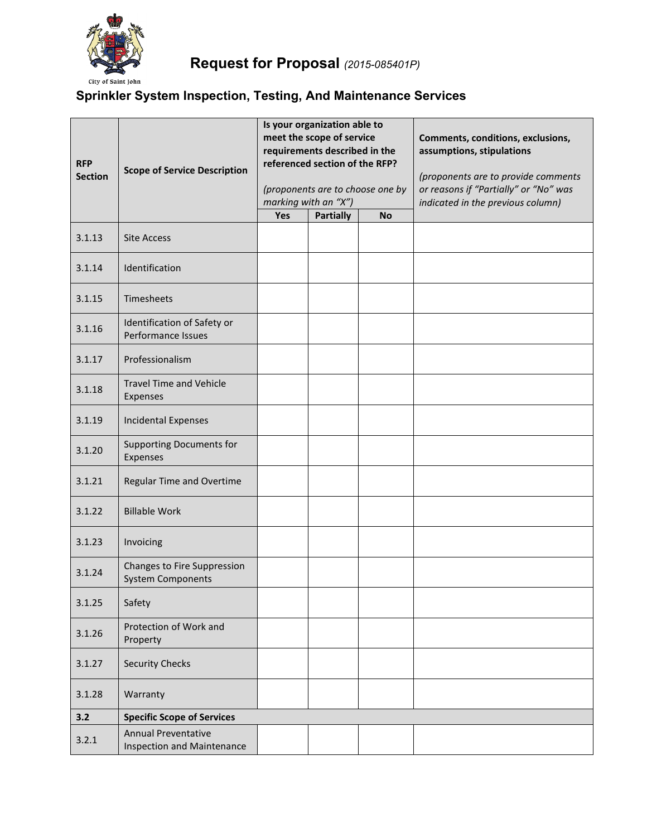

# **Sprinkler System Inspection, Testing, And Maintenance Services**

| <b>RFP</b><br><b>Section</b> | <b>Scope of Service Description</b>                      | Is your organization able to<br>meet the scope of service<br>requirements described in the<br>referenced section of the RFP?<br>(proponents are to choose one by<br>marking with an "X") |                  |           | Comments, conditions, exclusions,<br>assumptions, stipulations<br>(proponents are to provide comments<br>or reasons if "Partially" or "No" was<br>indicated in the previous column) |
|------------------------------|----------------------------------------------------------|------------------------------------------------------------------------------------------------------------------------------------------------------------------------------------------|------------------|-----------|-------------------------------------------------------------------------------------------------------------------------------------------------------------------------------------|
|                              |                                                          | Yes                                                                                                                                                                                      | <b>Partially</b> | <b>No</b> |                                                                                                                                                                                     |
| 3.1.13                       | <b>Site Access</b>                                       |                                                                                                                                                                                          |                  |           |                                                                                                                                                                                     |
| 3.1.14                       | Identification                                           |                                                                                                                                                                                          |                  |           |                                                                                                                                                                                     |
| 3.1.15                       | Timesheets                                               |                                                                                                                                                                                          |                  |           |                                                                                                                                                                                     |
| 3.1.16                       | Identification of Safety or<br>Performance Issues        |                                                                                                                                                                                          |                  |           |                                                                                                                                                                                     |
| 3.1.17                       | Professionalism                                          |                                                                                                                                                                                          |                  |           |                                                                                                                                                                                     |
| 3.1.18                       | <b>Travel Time and Vehicle</b><br>Expenses               |                                                                                                                                                                                          |                  |           |                                                                                                                                                                                     |
| 3.1.19                       | <b>Incidental Expenses</b>                               |                                                                                                                                                                                          |                  |           |                                                                                                                                                                                     |
| 3.1.20                       | <b>Supporting Documents for</b><br>Expenses              |                                                                                                                                                                                          |                  |           |                                                                                                                                                                                     |
| 3.1.21                       | Regular Time and Overtime                                |                                                                                                                                                                                          |                  |           |                                                                                                                                                                                     |
| 3.1.22                       | <b>Billable Work</b>                                     |                                                                                                                                                                                          |                  |           |                                                                                                                                                                                     |
| 3.1.23                       | Invoicing                                                |                                                                                                                                                                                          |                  |           |                                                                                                                                                                                     |
| 3.1.24                       | Changes to Fire Suppression<br><b>System Components</b>  |                                                                                                                                                                                          |                  |           |                                                                                                                                                                                     |
| 3.1.25                       | Safety                                                   |                                                                                                                                                                                          |                  |           |                                                                                                                                                                                     |
| 3.1.26                       | Protection of Work and<br>Property                       |                                                                                                                                                                                          |                  |           |                                                                                                                                                                                     |
| 3.1.27                       | <b>Security Checks</b>                                   |                                                                                                                                                                                          |                  |           |                                                                                                                                                                                     |
| 3.1.28                       | Warranty                                                 |                                                                                                                                                                                          |                  |           |                                                                                                                                                                                     |
| 3.2                          | <b>Specific Scope of Services</b>                        |                                                                                                                                                                                          |                  |           |                                                                                                                                                                                     |
| 3.2.1                        | <b>Annual Preventative</b><br>Inspection and Maintenance |                                                                                                                                                                                          |                  |           |                                                                                                                                                                                     |